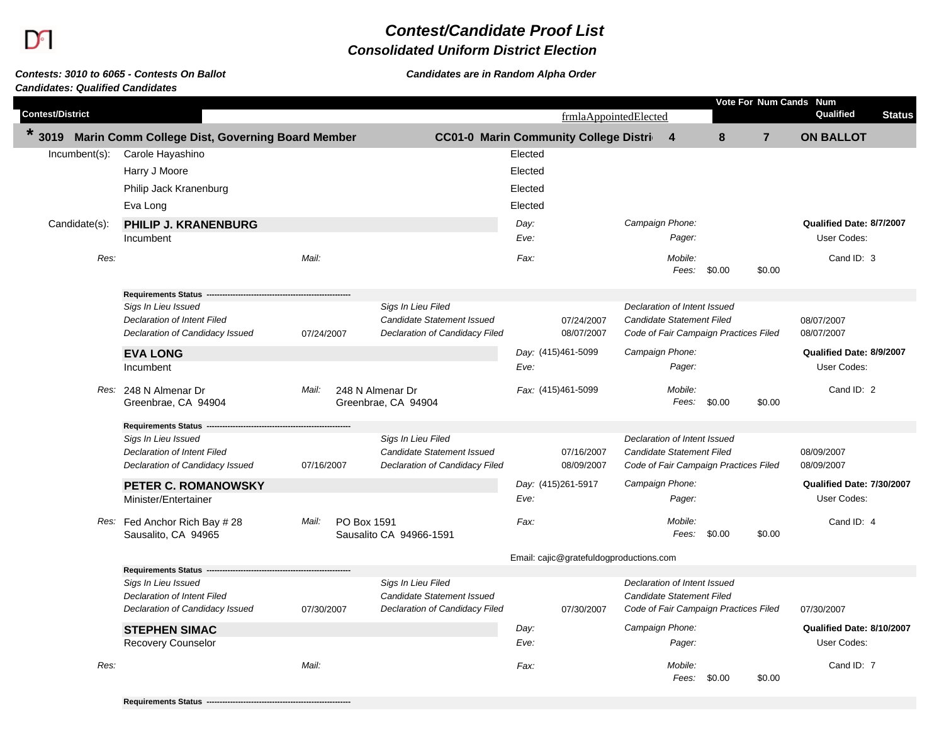Г

## *Contest/Candidate Proof List*

## *Consolidated Uniform District Election*

## *Contests: 3010 to 6065 - Contests On Ballot Candidates are in Random Alpha Order Candidates: Qualified Candidates*

|                         |                                                                |                      |                                                                     |                                               |                                         |                                                           |                                       |                | Vote For Num Cands Num    |               |
|-------------------------|----------------------------------------------------------------|----------------------|---------------------------------------------------------------------|-----------------------------------------------|-----------------------------------------|-----------------------------------------------------------|---------------------------------------|----------------|---------------------------|---------------|
| <b>Contest/District</b> |                                                                |                      |                                                                     |                                               | frmlaAppointedElected                   |                                                           |                                       |                | Qualified                 | <b>Status</b> |
| $\star$<br>3019         | Marin Comm College Dist, Governing Board Member                |                      |                                                                     | <b>CC01-0 Marin Community College Distri-</b> |                                         | $\overline{4}$                                            | 8                                     | $\overline{7}$ | <b>ON BALLOT</b>          |               |
| Incumbent(s):           | Carole Hayashino                                               |                      |                                                                     | Elected                                       |                                         |                                                           |                                       |                |                           |               |
|                         | Harry J Moore                                                  |                      |                                                                     | Elected                                       |                                         |                                                           |                                       |                |                           |               |
|                         | Philip Jack Kranenburg                                         |                      |                                                                     | Elected                                       |                                         |                                                           |                                       |                |                           |               |
|                         | Eva Long                                                       |                      |                                                                     | Elected                                       |                                         |                                                           |                                       |                |                           |               |
| Candidate(s):           | <b>PHILIP J. KRANENBURG</b>                                    |                      |                                                                     | Day:                                          |                                         | Campaign Phone:                                           |                                       |                | Qualified Date: 8/7/2007  |               |
|                         | Incumbent                                                      |                      |                                                                     | Eve:                                          |                                         | Pager:                                                    |                                       |                | User Codes:               |               |
| Res:                    |                                                                | Mail:                |                                                                     | Fax:                                          |                                         | Mobile:<br>Fees:                                          | \$0.00                                | \$0.00         | Cand ID: 3                |               |
|                         | <b>Requirements Status</b>                                     |                      |                                                                     |                                               |                                         |                                                           |                                       |                |                           |               |
|                         | Sigs In Lieu Issued                                            |                      | Sigs In Lieu Filed                                                  |                                               |                                         | Declaration of Intent Issued                              |                                       |                |                           |               |
|                         | Declaration of Intent Filed<br>Declaration of Candidacy Issued | 07/24/2007           | <b>Candidate Statement Issued</b><br>Declaration of Candidacy Filed |                                               | 07/24/2007<br>08/07/2007                | Candidate Statement Filed                                 | Code of Fair Campaign Practices Filed |                | 08/07/2007<br>08/07/2007  |               |
|                         | <b>EVA LONG</b>                                                |                      |                                                                     | Day: (415)461-5099                            |                                         | Campaign Phone:                                           |                                       |                | Qualified Date: 8/9/2007  |               |
|                         | Incumbent                                                      |                      |                                                                     | Eve:                                          |                                         | Pager:                                                    |                                       |                | User Codes:               |               |
|                         | Res: 248 N Almenar Dr<br>Greenbrae, CA 94904                   | Mail:                | 248 N Almenar Dr<br>Greenbrae, CA 94904                             | Fax: (415)461-5099                            |                                         | Mobile:<br>Fees:                                          | \$0.00                                | \$0.00         | Cand ID: 2                |               |
|                         | <b>Requirements Status</b>                                     |                      |                                                                     |                                               |                                         |                                                           |                                       |                |                           |               |
|                         | Sigs In Lieu Issued                                            |                      | Sigs In Lieu Filed                                                  |                                               |                                         | Declaration of Intent Issued                              |                                       |                |                           |               |
|                         | Declaration of Intent Filed                                    |                      | Candidate Statement Issued                                          |                                               | 07/16/2007                              | Candidate Statement Filed                                 |                                       |                | 08/09/2007                |               |
|                         | Declaration of Candidacy Issued                                | 07/16/2007           | Declaration of Candidacy Filed                                      |                                               | 08/09/2007                              |                                                           | Code of Fair Campaign Practices Filed |                | 08/09/2007                |               |
|                         | PETER C. ROMANOWSKY                                            |                      |                                                                     | Day: (415)261-5917                            |                                         | Campaign Phone:                                           |                                       |                | Qualified Date: 7/30/2007 |               |
|                         | Minister/Entertainer                                           |                      |                                                                     | Eve:                                          |                                         | Pager:                                                    |                                       |                | User Codes:               |               |
|                         | Res: Fed Anchor Rich Bay # 28<br>Sausalito, CA 94965           | Mail:<br>PO Box 1591 | Sausalito CA 94966-1591                                             | Fax:                                          |                                         | Mobile:<br>Fees:                                          | \$0.00                                | \$0.00         | Cand ID: 4                |               |
|                         |                                                                |                      |                                                                     |                                               | Email: cajic@gratefuldogproductions.com |                                                           |                                       |                |                           |               |
|                         | <b>Requirements Status</b>                                     |                      |                                                                     |                                               |                                         |                                                           |                                       |                |                           |               |
|                         | Sigs In Lieu Issued<br>Declaration of Intent Filed             |                      | Sigs In Lieu Filed<br><b>Candidate Statement Issued</b>             |                                               |                                         | Declaration of Intent Issued<br>Candidate Statement Filed |                                       |                |                           |               |
|                         | Declaration of Candidacy Issued                                | 07/30/2007           | Declaration of Candidacy Filed                                      |                                               | 07/30/2007                              |                                                           | Code of Fair Campaign Practices Filed |                | 07/30/2007                |               |
|                         | <b>STEPHEN SIMAC</b>                                           |                      |                                                                     | Day:                                          | Campaign Phone:                         |                                                           |                                       |                | Qualified Date: 8/10/2007 |               |
|                         | Recovery Counselor                                             |                      |                                                                     | Eve:                                          |                                         | Pager:                                                    |                                       |                | User Codes:               |               |
| Res:                    |                                                                | Mail:                |                                                                     | Fax:                                          |                                         | Mobile:<br>Fees:                                          | \$0.00                                | \$0.00         | Cand ID: 7                |               |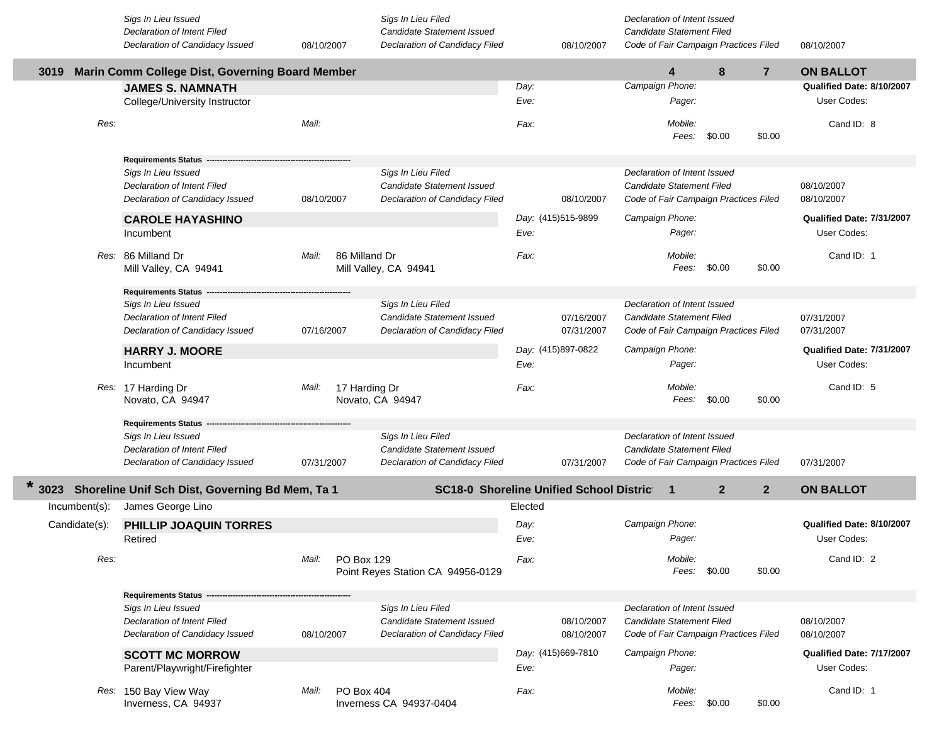|               | Sigs In Lieu Issued<br>Declaration of Intent Filed                                           |            |               | Sigs In Lieu Filed<br>Candidate Statement Issued                                          |         |                          | Declaration of Intent Issued<br>Candidate Statement Filed |                  |                                       |                |                           |
|---------------|----------------------------------------------------------------------------------------------|------------|---------------|-------------------------------------------------------------------------------------------|---------|--------------------------|-----------------------------------------------------------|------------------|---------------------------------------|----------------|---------------------------|
|               | Declaration of Candidacy Issued                                                              | 08/10/2007 |               | Declaration of Candidacy Filed                                                            |         | 08/10/2007               |                                                           |                  | Code of Fair Campaign Practices Filed |                | 08/10/2007                |
| 3019          | Marin Comm College Dist, Governing Board Member                                              |            |               |                                                                                           |         |                          |                                                           | 4                | 8                                     | $\overline{7}$ | <b>ON BALLOT</b>          |
|               | <b>JAMES S. NAMNATH</b>                                                                      |            |               |                                                                                           | Day:    |                          | Campaign Phone:                                           |                  |                                       |                | Qualified Date: 8/10/2007 |
|               | College/University Instructor                                                                |            |               |                                                                                           | Eve:    |                          |                                                           | Pager:           |                                       |                | User Codes:               |
| Res:          |                                                                                              | Mail:      |               |                                                                                           | Fax:    |                          |                                                           | Mobile:          | Fees: \$0.00                          | \$0.00         | Cand ID: 8                |
|               | <b>Requirements Status</b>                                                                   |            |               |                                                                                           |         |                          |                                                           |                  |                                       |                |                           |
|               | Sigs In Lieu Issued<br><b>Declaration of Intent Filed</b><br>Declaration of Candidacy Issued | 08/10/2007 |               | Sigs In Lieu Filed<br><b>Candidate Statement Issued</b><br>Declaration of Candidacy Filed |         | 08/10/2007               | Declaration of Intent Issued<br>Candidate Statement Filed |                  | Code of Fair Campaign Practices Filed |                | 08/10/2007<br>08/10/2007  |
|               | <b>CAROLE HAYASHINO</b>                                                                      |            |               |                                                                                           |         | Day: (415)515-9899       | Campaign Phone:                                           |                  |                                       |                | Qualified Date: 7/31/2007 |
|               | Incumbent                                                                                    |            |               |                                                                                           | Eve:    |                          |                                                           | Pager:           |                                       |                | User Codes:               |
|               | Res: 86 Milland Dr<br>Mill Valley, CA 94941                                                  | Mail:      | 86 Milland Dr | Mill Valley, CA 94941                                                                     | Fax:    |                          |                                                           | Mobile:<br>Fees: | \$0.00                                | \$0.00         | Cand ID: 1                |
|               | <b>Requirements Status</b>                                                                   |            |               |                                                                                           |         |                          |                                                           |                  |                                       |                |                           |
|               | Sigs In Lieu Issued<br>Declaration of Intent Filed<br>Declaration of Candidacy Issued        | 07/16/2007 |               | Sigs In Lieu Filed<br>Candidate Statement Issued<br>Declaration of Candidacy Filed        |         | 07/16/2007<br>07/31/2007 | Declaration of Intent Issued<br>Candidate Statement Filed |                  | Code of Fair Campaign Practices Filed |                | 07/31/2007<br>07/31/2007  |
|               | <b>HARRY J. MOORE</b>                                                                        |            |               |                                                                                           |         | Day: (415)897-0822       | Campaign Phone:                                           |                  |                                       |                | Qualified Date: 7/31/2007 |
|               | Incumbent                                                                                    |            |               |                                                                                           | Eve:    |                          |                                                           | Pager:           |                                       |                | User Codes:               |
|               | Res: 17 Harding Dr<br>Novato, CA 94947                                                       | Mail:      | 17 Harding Dr | Novato, CA 94947                                                                          | Fax:    |                          |                                                           | Mobile:<br>Fees: | \$0.00                                | \$0.00         | Cand ID: 5                |
|               | <b>Requirements Status</b>                                                                   |            |               |                                                                                           |         |                          |                                                           |                  |                                       |                |                           |
|               | Sigs In Lieu Issued                                                                          |            |               | Sigs In Lieu Filed                                                                        |         |                          | Declaration of Intent Issued                              |                  |                                       |                |                           |
|               | <b>Declaration of Intent Filed</b>                                                           |            |               | Candidate Statement Issued                                                                |         |                          | Candidate Statement Filed                                 |                  |                                       |                |                           |
|               | Declaration of Candidacy Issued                                                              | 07/31/2007 |               | Declaration of Candidacy Filed                                                            |         | 07/31/2007               |                                                           |                  | Code of Fair Campaign Practices Filed |                | 07/31/2007                |
|               | 3023 Shoreline Unif Sch Dist, Governing Bd Mem, Ta 1                                         |            |               | <b>SC18-0 Shoreline Unified School District</b>                                           |         |                          |                                                           | -1               | 2 <sup>2</sup>                        | $\mathbf{2}$   | <b>ON BALLOT</b>          |
| Incumbent(s): | James George Lino                                                                            |            |               |                                                                                           | Elected |                          |                                                           |                  |                                       |                |                           |
| Candidate(s): | <b>PHILLIP JOAQUIN TORRES</b>                                                                |            |               |                                                                                           | Day:    |                          | Campaign Phone:                                           |                  |                                       |                | Qualified Date: 8/10/2007 |
|               | Retired                                                                                      |            |               |                                                                                           | Eve:    |                          |                                                           | Pager:           |                                       |                | User Codes:               |
| Res:          |                                                                                              | Mail:      | PO Box 129    | Point Reyes Station CA 94956-0129                                                         | Fax:    |                          |                                                           | Mobile:          | Fees: \$0.00                          | \$0.00         | Cand ID: 2                |
|               |                                                                                              |            |               |                                                                                           |         |                          |                                                           |                  |                                       |                |                           |
|               | <b>Requirements Status</b>                                                                   |            |               |                                                                                           |         |                          |                                                           |                  |                                       |                |                           |
|               | Sigs In Lieu Issued                                                                          |            |               | Sigs In Lieu Filed                                                                        |         |                          | Declaration of Intent Issued                              |                  |                                       |                |                           |
|               | <b>Declaration of Intent Filed</b>                                                           |            |               | Candidate Statement Issued                                                                |         | 08/10/2007               | Candidate Statement Filed                                 |                  |                                       |                | 08/10/2007                |
|               | Declaration of Candidacy Issued                                                              | 08/10/2007 |               | Declaration of Candidacy Filed                                                            |         | 08/10/2007               |                                                           |                  | Code of Fair Campaign Practices Filed |                | 08/10/2007                |
|               | <b>SCOTT MC MORROW</b>                                                                       |            |               |                                                                                           |         | Day: (415)669-7810       | Campaign Phone:                                           |                  |                                       |                | Qualified Date: 7/17/2007 |
|               | Parent/Playwright/Firefighter                                                                |            |               |                                                                                           | Eve:    |                          |                                                           | Pager:           |                                       |                | User Codes:               |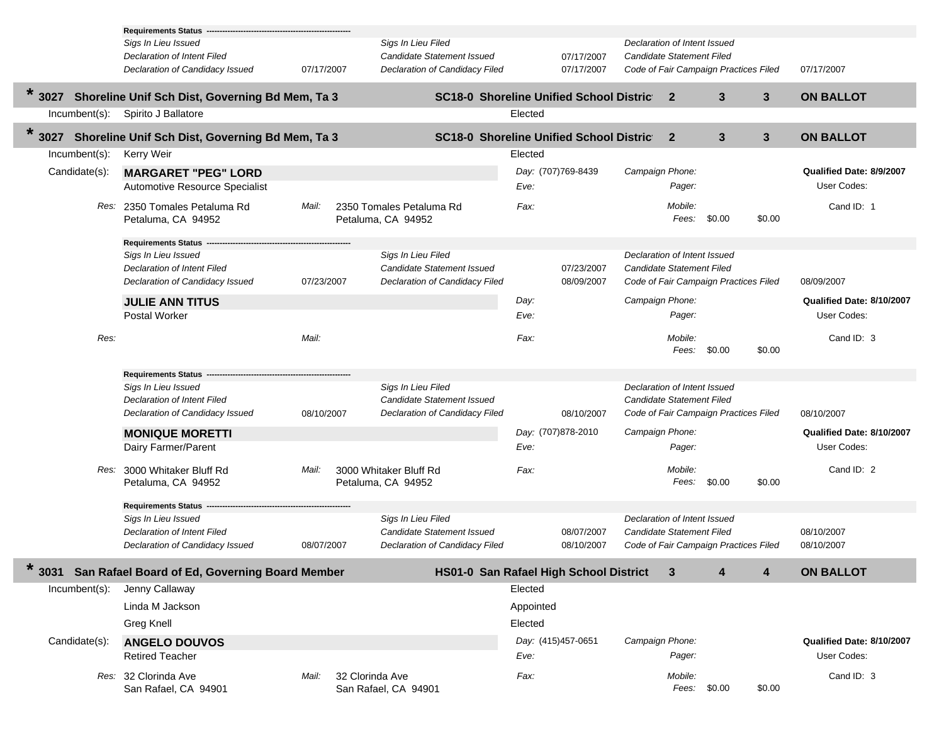|                  | <b>Requirements Status -</b>                        |                          |                                                 |                    |            |                                       |        |                |                           |
|------------------|-----------------------------------------------------|--------------------------|-------------------------------------------------|--------------------|------------|---------------------------------------|--------|----------------|---------------------------|
|                  | Sigs In Lieu Issued                                 |                          | Sigs In Lieu Filed                              |                    |            | Declaration of Intent Issued          |        |                |                           |
|                  | Declaration of Intent Filed                         |                          | <b>Candidate Statement Issued</b>               |                    | 07/17/2007 | Candidate Statement Filed             |        |                |                           |
|                  | Declaration of Candidacy Issued                     | 07/17/2007               | Declaration of Candidacy Filed                  |                    | 07/17/2007 | Code of Fair Campaign Practices Filed |        |                | 07/17/2007                |
| 3027             | Shoreline Unif Sch Dist, Governing Bd Mem, Ta 3     |                          | <b>SC18-0 Shoreline Unified School District</b> |                    |            | $\mathbf{2}$                          | 3      | $\mathbf{3}$   | <b>ON BALLOT</b>          |
| $Incumbent(s)$ : | Spirito J Ballatore                                 |                          |                                                 | Elected            |            |                                       |        |                |                           |
| $\star$<br>3027  | Shoreline Unif Sch Dist, Governing Bd Mem, Ta 3     |                          | <b>SC18-0 Shoreline Unified School District</b> |                    |            | $\mathbf{2}$                          | 3      | $3\phantom{a}$ | <b>ON BALLOT</b>          |
| $Incumbent(s)$ : | Kerry Weir                                          |                          |                                                 | Elected            |            |                                       |        |                |                           |
| Candidate(s):    | <b>MARGARET "PEG" LORD</b>                          |                          |                                                 | Day: (707)769-8439 |            | Campaign Phone:                       |        |                | Qualified Date: 8/9/2007  |
|                  | Automotive Resource Specialist                      |                          |                                                 | Eve:               |            | Pager:                                |        |                | User Codes:               |
|                  |                                                     |                          |                                                 |                    |            |                                       |        |                |                           |
|                  | Res: 2350 Tomales Petaluma Rd<br>Petaluma, CA 94952 | Mail:                    | 2350 Tomales Petaluma Rd<br>Petaluma, CA 94952  | Fax:               |            | Mobile:<br>Fees: \$0.00               |        | \$0.00         | Cand ID: 1                |
|                  | <b>Requirements Status</b>                          |                          |                                                 |                    |            |                                       |        |                |                           |
|                  | Sigs In Lieu Issued                                 |                          | Sigs In Lieu Filed                              |                    |            | Declaration of Intent Issued          |        |                |                           |
|                  | <b>Declaration of Intent Filed</b>                  |                          | <b>Candidate Statement Issued</b>               |                    | 07/23/2007 | Candidate Statement Filed             |        |                |                           |
|                  | Declaration of Candidacy Issued                     | 07/23/2007               | Declaration of Candidacy Filed                  |                    | 08/09/2007 | Code of Fair Campaign Practices Filed |        |                | 08/09/2007                |
|                  | <b>JULIE ANN TITUS</b>                              |                          |                                                 | Day:               |            | Campaign Phone:                       |        |                | Qualified Date: 8/10/2007 |
|                  | <b>Postal Worker</b>                                |                          |                                                 | Eve:               |            | Pager:                                |        |                | User Codes:               |
|                  |                                                     |                          |                                                 |                    |            |                                       |        |                |                           |
| Res:             |                                                     | Mail:                    |                                                 | Fax:               |            | Mobile:                               |        |                | Cand ID: 3                |
|                  |                                                     |                          |                                                 |                    |            | Fees:                                 | \$0.00 | \$0.00         |                           |
|                  | <b>Requirements Status -</b>                        |                          |                                                 |                    |            |                                       |        |                |                           |
|                  | Sigs In Lieu Issued                                 |                          | Sigs In Lieu Filed                              |                    |            | Declaration of Intent Issued          |        |                |                           |
|                  | Declaration of Intent Filed                         |                          | <b>Candidate Statement Issued</b>               |                    |            | Candidate Statement Filed             |        |                |                           |
|                  | Declaration of Candidacy Issued                     | 08/10/2007               | Declaration of Candidacy Filed                  |                    | 08/10/2007 | Code of Fair Campaign Practices Filed |        |                | 08/10/2007                |
|                  | <b>MONIQUE MORETTI</b>                              |                          |                                                 | Day: (707)878-2010 |            | Campaign Phone:                       |        |                | Qualified Date: 8/10/2007 |
|                  | Dairy Farmer/Parent                                 |                          |                                                 | Eve:               |            | Pager:                                |        |                | User Codes:               |
|                  |                                                     |                          |                                                 |                    |            |                                       |        |                |                           |
|                  | Res: 3000 Whitaker Bluff Rd<br>Petaluma, CA 94952   | Mail:                    | 3000 Whitaker Bluff Rd<br>Petaluma, CA 94952    | Fax:               |            | Mobile:<br>Fees:                      | \$0.00 | \$0.00         | Cand ID: 2                |
|                  |                                                     |                          |                                                 |                    |            |                                       |        |                |                           |
|                  | <b>Requirements Status</b>                          |                          |                                                 |                    |            |                                       |        |                |                           |
|                  | Sigs In Lieu Issued                                 |                          | Sigs In Lieu Filed                              |                    |            | Declaration of Intent Issued          |        |                |                           |
|                  | Declaration of Intent Filed                         |                          | <b>Candidate Statement Issued</b>               |                    | 08/07/2007 | Candidate Statement Filed             |        |                | 08/10/2007                |
|                  | Declaration of Candidacy Issued                     | 08/07/2007               | Declaration of Candidacy Filed                  |                    | 08/10/2007 | Code of Fair Campaign Practices Filed |        |                | 08/10/2007                |
| $\ast$           | 3031 San Rafael Board of Ed, Governing Board Member |                          | HS01-0 San Rafael High School District          |                    |            | 3                                     | 4      | 4              | <b>ON BALLOT</b>          |
| Incumbent(s):    | Jenny Callaway                                      |                          |                                                 | Elected            |            |                                       |        |                |                           |
|                  | Linda M Jackson                                     |                          |                                                 | Appointed          |            |                                       |        |                |                           |
|                  | Greg Knell                                          |                          |                                                 | Elected            |            |                                       |        |                |                           |
| Candidate(s):    | <b>ANGELO DOUVOS</b>                                |                          |                                                 | Day: (415)457-0651 |            | Campaign Phone:                       |        |                | Qualified Date: 8/10/2007 |
|                  | <b>Retired Teacher</b>                              |                          |                                                 | Eve:               |            | Pager:                                |        |                | User Codes:               |
|                  |                                                     |                          |                                                 |                    |            |                                       |        |                |                           |
|                  | Res: 32 Clorinda Ave<br>San Rafael, CA 94901        | Mail:<br>32 Clorinda Ave | San Rafael, CA 94901                            | Fax:               |            | Mobile:<br>Fees: \$0.00               |        | \$0.00         | Cand ID: 3                |
|                  |                                                     |                          |                                                 |                    |            |                                       |        |                |                           |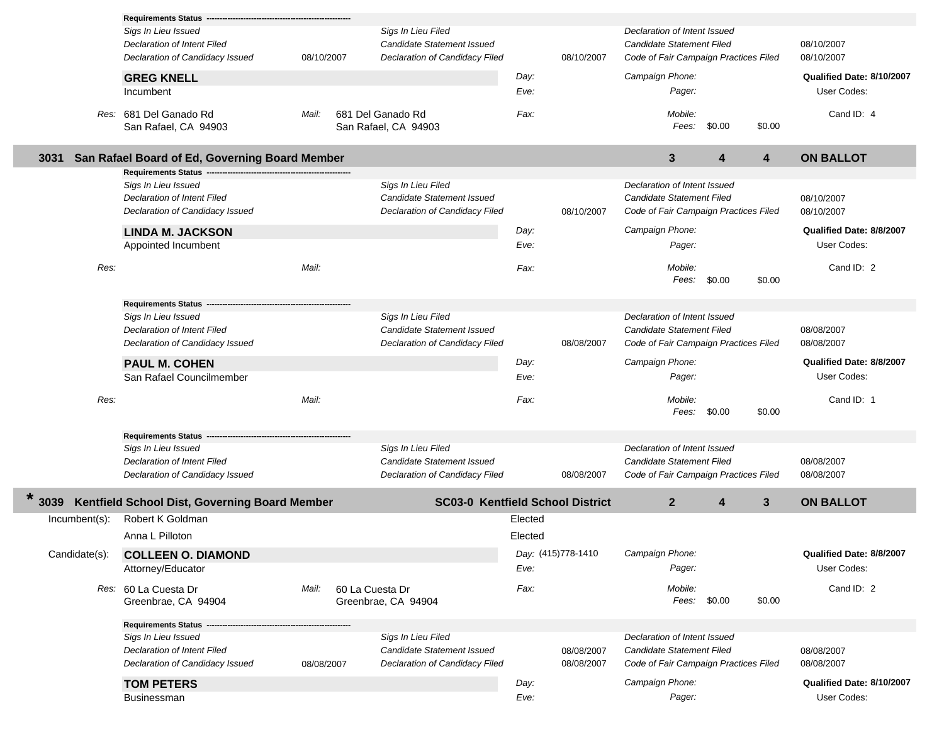|               | <b>Requirements Status</b>                         |            |                                                  |         |                    |                                                           |        |                         |                           |
|---------------|----------------------------------------------------|------------|--------------------------------------------------|---------|--------------------|-----------------------------------------------------------|--------|-------------------------|---------------------------|
|               | Sigs In Lieu Issued                                |            | Sigs In Lieu Filed                               |         |                    | Declaration of Intent Issued                              |        |                         |                           |
|               | Declaration of Intent Filed                        |            | Candidate Statement Issued                       |         |                    | Candidate Statement Filed                                 |        |                         | 08/10/2007                |
|               | Declaration of Candidacy Issued                    | 08/10/2007 | Declaration of Candidacy Filed                   |         | 08/10/2007         | Code of Fair Campaign Practices Filed                     |        |                         | 08/10/2007                |
|               | <b>GREG KNELL</b>                                  |            |                                                  | Day:    |                    | Campaign Phone:                                           |        |                         | Qualified Date: 8/10/2007 |
|               | Incumbent                                          |            |                                                  | Eve:    |                    | Pager:                                                    |        |                         | User Codes:               |
|               | Res: 681 Del Ganado Rd<br>San Rafael, CA 94903     | Mail:      | 681 Del Ganado Rd<br>San Rafael, CA 94903        | Fax:    |                    | Mobile:<br>Fees:                                          | \$0.00 | \$0.00                  | Cand ID: 4                |
| 3031          | San Rafael Board of Ed, Governing Board Member     |            |                                                  |         |                    | 3                                                         | 4      | $\overline{\mathbf{4}}$ | <b>ON BALLOT</b>          |
|               | <b>Requirements Status</b>                         |            |                                                  |         |                    |                                                           |        |                         |                           |
|               | Sigs In Lieu Issued<br>Declaration of Intent Filed |            | Sigs In Lieu Filed<br>Candidate Statement Issued |         |                    | Declaration of Intent Issued<br>Candidate Statement Filed |        |                         | 08/10/2007                |
|               | Declaration of Candidacy Issued                    |            | Declaration of Candidacy Filed                   |         | 08/10/2007         | Code of Fair Campaign Practices Filed                     |        |                         | 08/10/2007                |
|               | <b>LINDA M. JACKSON</b>                            |            |                                                  | Day:    |                    | Campaign Phone:                                           |        |                         | Qualified Date: 8/8/2007  |
|               | Appointed Incumbent                                |            |                                                  | Eve:    |                    | Pager:                                                    |        |                         | User Codes:               |
| Res:          |                                                    | Mail:      |                                                  | Fax:    |                    | Mobile:<br>Fees:                                          | \$0.00 | \$0.00                  | Cand ID: 2                |
|               | <b>Requirements Status</b>                         |            |                                                  |         |                    |                                                           |        |                         |                           |
|               | Sigs In Lieu Issued                                |            | Sigs In Lieu Filed                               |         |                    | Declaration of Intent Issued                              |        |                         |                           |
|               | <b>Declaration of Intent Filed</b>                 |            | <b>Candidate Statement Issued</b>                |         |                    | Candidate Statement Filed                                 |        |                         | 08/08/2007                |
|               | Declaration of Candidacy Issued                    |            | Declaration of Candidacy Filed                   |         | 08/08/2007         | Code of Fair Campaign Practices Filed                     |        |                         | 08/08/2007                |
|               | <b>PAUL M. COHEN</b>                               |            |                                                  | Day:    |                    | Campaign Phone:                                           |        |                         | Qualified Date: 8/8/2007  |
|               | San Rafael Councilmember                           |            |                                                  | Eve:    |                    | Pager:                                                    |        |                         | User Codes:               |
| Res:          |                                                    | Mail:      |                                                  | Fax:    |                    | Mobile:<br>Fees:                                          | \$0.00 | \$0.00                  | Cand ID: 1                |
|               | <b>Requirements Status</b>                         |            |                                                  |         |                    |                                                           |        |                         |                           |
|               | Sigs In Lieu Issued                                |            | Sigs In Lieu Filed                               |         |                    | Declaration of Intent Issued                              |        |                         |                           |
|               | Declaration of Intent Filed                        |            | <b>Candidate Statement Issued</b>                |         |                    | Candidate Statement Filed                                 |        |                         | 08/08/2007                |
|               | Declaration of Candidacy Issued                    |            | Declaration of Candidacy Filed                   |         | 08/08/2007         | Code of Fair Campaign Practices Filed                     |        |                         | 08/08/2007                |
| 3039          | Kentfield School Dist, Governing Board Member      |            | <b>SC03-0 Kentfield School District</b>          |         |                    | 2 <sup>2</sup>                                            | 4      | 3                       | <b>ON BALLOT</b>          |
| Incumbent(s): | Robert K Goldman                                   |            |                                                  | Elected |                    |                                                           |        |                         |                           |
|               | Anna L Pilloton                                    |            |                                                  | Elected |                    |                                                           |        |                         |                           |
| Candidate(s): | <b>COLLEEN O. DIAMOND</b>                          |            |                                                  |         | Day: (415)778-1410 | Campaign Phone:                                           |        |                         | Qualified Date: 8/8/2007  |
|               | Attorney/Educator                                  |            |                                                  | Eve:    |                    | Pager:                                                    |        |                         | User Codes:               |
|               | Res: 60 La Cuesta Dr<br>Greenbrae, CA 94904        | Mail:      | 60 La Cuesta Dr<br>Greenbrae, CA 94904           | Fax:    |                    | Mobile:<br>Fees:                                          | \$0.00 | \$0.00                  | Cand ID: 2                |
|               | <b>Requirements Status</b>                         |            |                                                  |         |                    |                                                           |        |                         |                           |
|               | Sigs In Lieu Issued                                |            | Sigs In Lieu Filed                               |         |                    | Declaration of Intent Issued                              |        |                         |                           |
|               | <b>Declaration of Intent Filed</b>                 |            | Candidate Statement Issued                       |         | 08/08/2007         | Candidate Statement Filed                                 |        |                         | 08/08/2007                |
|               | Declaration of Candidacy Issued                    | 08/08/2007 | Declaration of Candidacy Filed                   |         | 08/08/2007         | Code of Fair Campaign Practices Filed                     |        |                         | 08/08/2007                |
|               | <b>TOM PETERS</b>                                  |            |                                                  | Day:    |                    | Campaign Phone:                                           |        |                         | Qualified Date: 8/10/2007 |
|               | Businessman                                        |            |                                                  | Eve:    |                    | Pager:                                                    |        |                         | User Codes:               |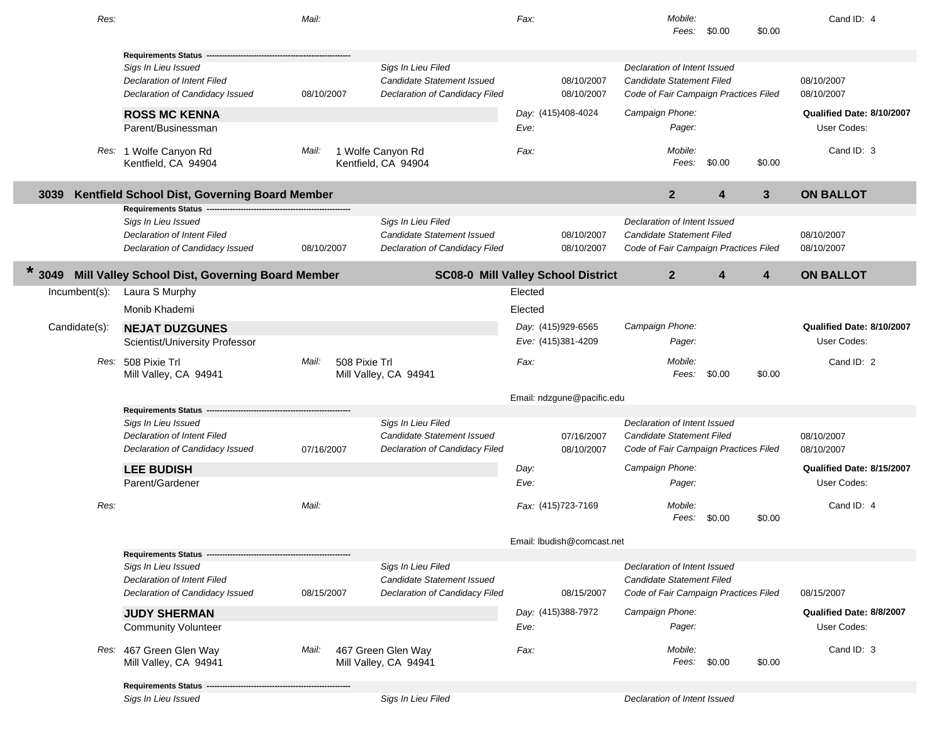| Res:          |                                                  | Mail:                  |                                             | Fax:                                      | Mobile:<br>Fees:<br>\$0.00            | \$0.00 | Cand ID: 4                |
|---------------|--------------------------------------------------|------------------------|---------------------------------------------|-------------------------------------------|---------------------------------------|--------|---------------------------|
|               | <b>Requirements Status</b>                       |                        |                                             |                                           |                                       |        |                           |
|               | Sigs In Lieu Issued                              |                        | Sigs In Lieu Filed                          |                                           | Declaration of Intent Issued          |        |                           |
|               | Declaration of Intent Filed                      |                        | <b>Candidate Statement Issued</b>           | 08/10/2007                                | Candidate Statement Filed             |        | 08/10/2007                |
|               | Declaration of Candidacy Issued                  | 08/10/2007             | Declaration of Candidacy Filed              | 08/10/2007                                | Code of Fair Campaign Practices Filed |        | 08/10/2007                |
|               | <b>ROSS MC KENNA</b>                             |                        |                                             | Day: (415)408-4024                        | Campaign Phone:                       |        | Qualified Date: 8/10/2007 |
|               | Parent/Businessman                               |                        |                                             | Eve:                                      | Pager:                                |        | User Codes:               |
|               | Res: 1 Wolfe Canyon Rd<br>Kentfield, CA 94904    | Mail:                  | 1 Wolfe Canyon Rd<br>Kentfield, CA 94904    | Fax:                                      | Mobile:<br>Fees:<br>\$0.00            | \$0.00 | Cand ID: 3                |
| 3039          | Kentfield School Dist, Governing Board Member    |                        |                                             |                                           | $\overline{2}$<br>4                   | 3      | <b>ON BALLOT</b>          |
|               | <b>Requirements Status</b>                       |                        |                                             |                                           |                                       |        |                           |
|               | Sigs In Lieu Issued                              |                        | Sigs In Lieu Filed                          |                                           | Declaration of Intent Issued          |        |                           |
|               | Declaration of Intent Filed                      |                        | <b>Candidate Statement Issued</b>           | 08/10/2007                                | Candidate Statement Filed             |        | 08/10/2007                |
|               | Declaration of Candidacy Issued                  | 08/10/2007             | Declaration of Candidacy Filed              | 08/10/2007                                | Code of Fair Campaign Practices Filed |        | 08/10/2007                |
| 3049          | Mill Valley School Dist, Governing Board Member  |                        |                                             | <b>SC08-0 Mill Valley School District</b> | $\mathbf{2}$<br>4                     | 4      | <b>ON BALLOT</b>          |
| Incumbent(s): | Laura S Murphy                                   |                        |                                             | Elected                                   |                                       |        |                           |
|               | Monib Khademi                                    |                        |                                             | Elected                                   |                                       |        |                           |
| Candidate(s): | <b>NEJAT DUZGUNES</b>                            |                        |                                             | Day: (415)929-6565                        | Campaign Phone:                       |        | Qualified Date: 8/10/2007 |
|               | Scientist/University Professor                   |                        |                                             | Eve: (415)381-4209                        | Pager:                                |        | User Codes:               |
|               | Res: 508 Pixie Trl<br>Mill Valley, CA 94941      | Mail:<br>508 Pixie Trl | Mill Valley, CA 94941                       | Fax:                                      | Mobile:<br>Fees:<br>\$0.00            | \$0.00 | Cand ID: 2                |
|               |                                                  |                        |                                             | Email: ndzgune@pacific.edu                |                                       |        |                           |
|               | Requirements Status -                            |                        |                                             |                                           |                                       |        |                           |
|               | Sigs In Lieu Issued                              |                        | Sigs In Lieu Filed                          |                                           | Declaration of Intent Issued          |        |                           |
|               | Declaration of Intent Filed                      |                        | Candidate Statement Issued                  | 07/16/2007                                | Candidate Statement Filed             |        | 08/10/2007                |
|               | Declaration of Candidacy Issued                  | 07/16/2007             | Declaration of Candidacy Filed              | 08/10/2007                                | Code of Fair Campaign Practices Filed |        | 08/10/2007                |
|               | <b>LEE BUDISH</b>                                |                        |                                             | Day:                                      | Campaign Phone:                       |        | Qualified Date: 8/15/2007 |
|               | Parent/Gardener                                  |                        |                                             | Eve:                                      | Pager:                                |        | User Codes:               |
| Res:          |                                                  | Mail:                  |                                             | Fax: (415)723-7169                        | Mobile:<br>\$0.00<br>Fees:            | \$0.00 | Cand ID: 4                |
|               |                                                  |                        |                                             | Email: Ibudish@comcast.net                |                                       |        |                           |
|               | <b>Requirements Status</b>                       |                        |                                             |                                           |                                       |        |                           |
|               | Sigs In Lieu Issued                              |                        | Sigs In Lieu Filed                          |                                           | Declaration of Intent Issued          |        |                           |
|               | Declaration of Intent Filed                      |                        | Candidate Statement Issued                  |                                           | <b>Candidate Statement Filed</b>      |        |                           |
|               | Declaration of Candidacy Issued                  | 08/15/2007             | Declaration of Candidacy Filed              | 08/15/2007                                | Code of Fair Campaign Practices Filed |        | 08/15/2007                |
|               | <b>JUDY SHERMAN</b>                              |                        |                                             | Day: (415)388-7972                        | Campaign Phone:                       |        | Qualified Date: 8/8/2007  |
|               | <b>Community Volunteer</b>                       |                        |                                             | Eve:                                      | Pager:                                |        | User Codes:               |
|               | Res: 467 Green Glen Way<br>Mill Valley, CA 94941 | Mail:                  | 467 Green Glen Way<br>Mill Valley, CA 94941 | Fax:                                      | Mobile:<br>Fees: \$0.00               | \$0.00 | Cand ID: 3                |
|               | <b>Requirements Status</b>                       |                        |                                             |                                           |                                       |        |                           |
|               | Sigs In Lieu Issued                              |                        | Sigs In Lieu Filed                          |                                           | Declaration of Intent Issued          |        |                           |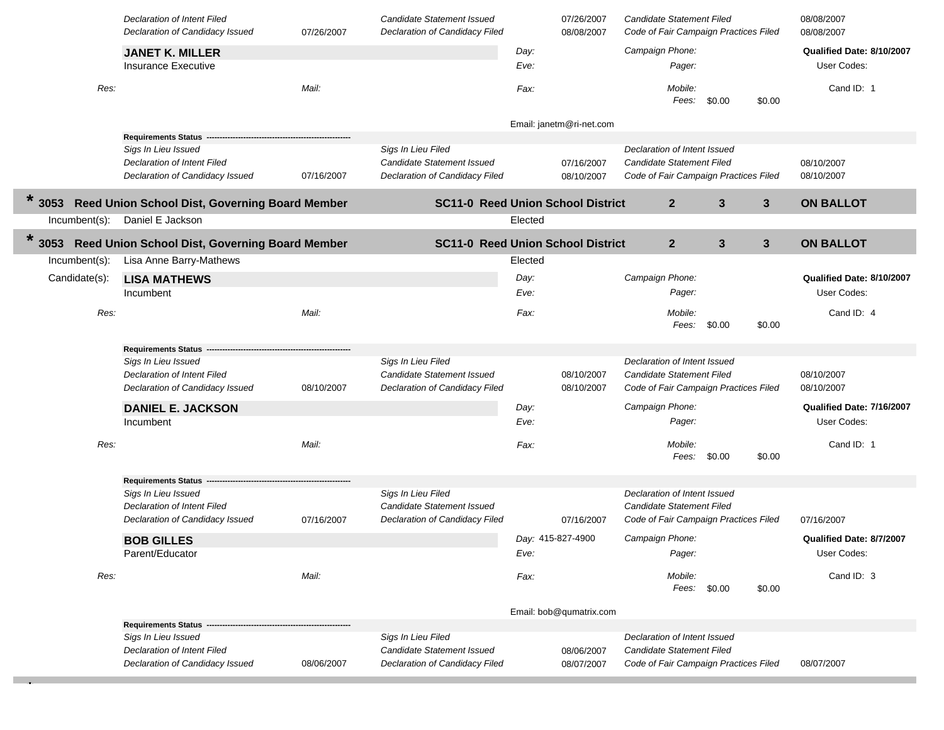|                  | Declaration of Intent Filed<br>Declaration of Candidacy Issued                                                 | 07/26/2007 | <b>Candidate Statement Issued</b><br>Declaration of Candidacy Filed                       |                   | 07/26/2007<br>08/08/2007 | Candidate Statement Filed<br>Code of Fair Campaign Practices Filed                                 |        |              | 08/08/2007<br>08/08/2007                 |
|------------------|----------------------------------------------------------------------------------------------------------------|------------|-------------------------------------------------------------------------------------------|-------------------|--------------------------|----------------------------------------------------------------------------------------------------|--------|--------------|------------------------------------------|
|                  | <b>JANET K. MILLER</b><br><b>Insurance Executive</b>                                                           |            |                                                                                           | Day:<br>Eve:      |                          | Campaign Phone:<br>Pager:                                                                          |        |              | Qualified Date: 8/10/2007<br>User Codes: |
| Res:             |                                                                                                                | Mail:      |                                                                                           | Fax:              |                          | Mobile:<br>Fees:                                                                                   | \$0.00 | \$0.00       | Cand ID: 1                               |
|                  |                                                                                                                |            |                                                                                           |                   | Email: janetm@ri-net.com |                                                                                                    |        |              |                                          |
|                  | Requirements Status -<br>Sigs In Lieu Issued<br>Declaration of Intent Filed<br>Declaration of Candidacy Issued | 07/16/2007 | Sigs In Lieu Filed<br><b>Candidate Statement Issued</b><br>Declaration of Candidacy Filed |                   | 07/16/2007<br>08/10/2007 | Declaration of Intent Issued<br>Candidate Statement Filed<br>Code of Fair Campaign Practices Filed |        |              | 08/10/2007<br>08/10/2007                 |
| $\ast$<br>3053   | Reed Union School Dist, Governing Board Member                                                                 |            | <b>SC11-0 Reed Union School District</b>                                                  |                   |                          | $\mathbf{2}$                                                                                       | 3      | $\mathbf{3}$ | <b>ON BALLOT</b>                         |
| $Incumbent(s)$ : | Daniel E Jackson                                                                                               |            |                                                                                           | Elected           |                          |                                                                                                    |        |              |                                          |
| $\ast$<br>3053   | Reed Union School Dist, Governing Board Member                                                                 |            | <b>SC11-0 Reed Union School District</b>                                                  |                   |                          | $\mathbf{2}$                                                                                       | 3      | $\mathbf{3}$ | <b>ON BALLOT</b>                         |
| Incumbent(s):    | Lisa Anne Barry-Mathews                                                                                        |            |                                                                                           | Elected           |                          |                                                                                                    |        |              |                                          |
| Candidate(s):    | <b>LISA MATHEWS</b><br>Incumbent                                                                               |            |                                                                                           | Day:<br>Eve:      |                          | Campaign Phone:<br>Pager:                                                                          |        |              | Qualified Date: 8/10/2007<br>User Codes: |
| Res:             |                                                                                                                | Mail:      |                                                                                           | Fax:              |                          | Mobile:<br>Fees:                                                                                   | \$0.00 | \$0.00       | Cand ID: 4                               |
|                  | <b>Requirements Status</b>                                                                                     |            |                                                                                           |                   |                          |                                                                                                    |        |              |                                          |
|                  | Sigs In Lieu Issued<br>Declaration of Intent Filed<br>Declaration of Candidacy Issued                          | 08/10/2007 | Sigs In Lieu Filed<br>Candidate Statement Issued<br>Declaration of Candidacy Filed        |                   | 08/10/2007<br>08/10/2007 | Declaration of Intent Issued<br>Candidate Statement Filed<br>Code of Fair Campaign Practices Filed |        |              | 08/10/2007<br>08/10/2007                 |
|                  | <b>DANIEL E. JACKSON</b>                                                                                       |            |                                                                                           | Day:              |                          | Campaign Phone:                                                                                    |        |              | Qualified Date: 7/16/2007                |
|                  | Incumbent                                                                                                      |            |                                                                                           | Eve:              |                          | Pager:                                                                                             |        |              | User Codes:                              |
| Res:             |                                                                                                                | Mail:      |                                                                                           | Fax:              |                          | Mobile:<br>Fees:                                                                                   | \$0.00 | \$0.00       | Cand ID: 1                               |
|                  | <b>Requirements Status</b>                                                                                     |            |                                                                                           |                   |                          |                                                                                                    |        |              |                                          |
|                  | Sigs In Lieu Issued<br>Declaration of Intent Filed<br>Declaration of Candidacy Issued                          | 07/16/2007 | Sigs In Lieu Filed<br><b>Candidate Statement Issued</b><br>Declaration of Candidacy Filed |                   | 07/16/2007               | Declaration of Intent Issued<br>Candidate Statement Filed<br>Code of Fair Campaign Practices Filed |        |              | 07/16/2007                               |
|                  |                                                                                                                |            |                                                                                           | Day: 415-827-4900 |                          | Campaign Phone:                                                                                    |        |              | Qualified Date: 8/7/2007                 |
|                  | <b>BOB GILLES</b><br>Parent/Educator                                                                           |            |                                                                                           | Eve:              |                          | Pager:                                                                                             |        |              | User Codes:                              |
| Res:             |                                                                                                                | Mail:      |                                                                                           | Fax:              |                          | Mobile:<br>Fees: \$0.00                                                                            |        | \$0.00       | Cand ID: 3                               |
|                  |                                                                                                                |            |                                                                                           |                   | Email: bob@qumatrix.com  |                                                                                                    |        |              |                                          |
|                  | <b>Requirements Status</b><br>Sigs In Lieu Issued<br>Declaration of Intent Filed                               |            | Sigs In Lieu Filed<br><b>Candidate Statement Issued</b>                                   |                   | 08/06/2007               | Declaration of Intent Issued<br>Candidate Statement Filed                                          |        |              |                                          |
|                  | Declaration of Candidacy Issued                                                                                | 08/06/2007 | Declaration of Candidacy Filed                                                            |                   | 08/07/2007               | Code of Fair Campaign Practices Filed                                                              |        |              | 08/07/2007                               |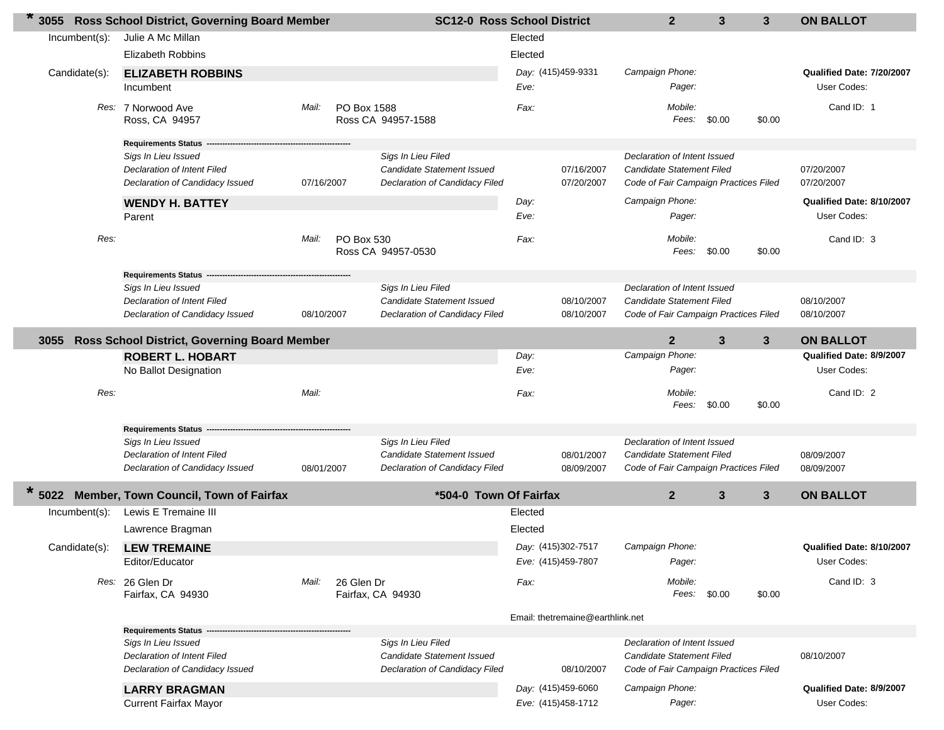| 3055             | <b>Ross School District, Governing Board Member</b>                                   |            | <b>SC12-0 Ross School District</b>                                                        |         |                                          | $\mathbf{2}$                                                                                       | 3            | 3              | <b>ON BALLOT</b>                         |
|------------------|---------------------------------------------------------------------------------------|------------|-------------------------------------------------------------------------------------------|---------|------------------------------------------|----------------------------------------------------------------------------------------------------|--------------|----------------|------------------------------------------|
| $Incumbent(s)$ : | Julie A Mc Millan                                                                     |            |                                                                                           | Elected |                                          |                                                                                                    |              |                |                                          |
|                  | <b>Elizabeth Robbins</b>                                                              |            |                                                                                           | Elected |                                          |                                                                                                    |              |                |                                          |
| Candidate(s):    | <b>ELIZABETH ROBBINS</b>                                                              |            |                                                                                           | Eve:    | Day: (415)459-9331                       | Campaign Phone:<br>Pager:                                                                          |              |                | Qualified Date: 7/20/2007<br>User Codes: |
|                  | Incumbent                                                                             |            |                                                                                           |         |                                          |                                                                                                    |              |                |                                          |
|                  | Res: 7 Norwood Ave<br>Ross, CA 94957                                                  | Mail:      | PO Box 1588<br>Ross CA 94957-1588                                                         | Fax:    |                                          | Mobile:<br>Fees: \$0.00                                                                            |              | \$0.00         | Cand ID: 1                               |
|                  | <b>Requirements Status</b>                                                            |            |                                                                                           |         |                                          |                                                                                                    |              |                |                                          |
|                  | Sigs In Lieu Issued<br>Declaration of Intent Filed<br>Declaration of Candidacy Issued | 07/16/2007 | Sigs In Lieu Filed<br><b>Candidate Statement Issued</b><br>Declaration of Candidacy Filed |         | 07/16/2007<br>07/20/2007                 | Declaration of Intent Issued<br>Candidate Statement Filed<br>Code of Fair Campaign Practices Filed |              |                | 07/20/2007<br>07/20/2007                 |
|                  | <b>WENDY H. BATTEY</b>                                                                |            |                                                                                           | Day:    |                                          | Campaign Phone:                                                                                    |              |                | Qualified Date: 8/10/2007                |
|                  | Parent                                                                                |            |                                                                                           | Eve:    |                                          | Pager:                                                                                             |              |                | User Codes:                              |
| Res:             |                                                                                       | Mail:      | PO Box 530<br>Ross CA 94957-0530                                                          | Fax:    |                                          | Mobile:<br>Fees:                                                                                   | \$0.00       | \$0.00         | Cand ID: 3                               |
|                  | <b>Requirements Status</b>                                                            |            |                                                                                           |         |                                          |                                                                                                    |              |                |                                          |
|                  | Sigs In Lieu Issued<br>Declaration of Intent Filed                                    |            | Sigs In Lieu Filed<br><b>Candidate Statement Issued</b>                                   |         | 08/10/2007                               | Declaration of Intent Issued<br><b>Candidate Statement Filed</b>                                   |              |                | 08/10/2007                               |
|                  | Declaration of Candidacy Issued                                                       | 08/10/2007 | Declaration of Candidacy Filed                                                            |         | 08/10/2007                               | Code of Fair Campaign Practices Filed                                                              |              |                | 08/10/2007                               |
| 3055             | Ross School District, Governing Board Member                                          |            |                                                                                           |         |                                          | $\mathbf{2}$                                                                                       | $\mathbf{3}$ | 3              | <b>ON BALLOT</b>                         |
|                  | <b>ROBERT L. HOBART</b>                                                               |            |                                                                                           | Day:    |                                          | Campaign Phone:                                                                                    |              |                | Qualified Date: 8/9/2007                 |
|                  | No Ballot Designation                                                                 |            |                                                                                           | Eve:    |                                          | Pager:                                                                                             |              |                | User Codes:                              |
| Res:             |                                                                                       | Mail:      |                                                                                           | Fax:    |                                          | Mobile:<br>Fees:                                                                                   | \$0.00       | \$0.00         | Cand ID: 2                               |
|                  | <b>Requirements Status</b>                                                            |            |                                                                                           |         |                                          |                                                                                                    |              |                |                                          |
|                  | Sigs In Lieu Issued                                                                   |            | Sigs In Lieu Filed                                                                        |         |                                          | Declaration of Intent Issued                                                                       |              |                |                                          |
|                  | Declaration of Intent Filed<br>Declaration of Candidacy Issued                        | 08/01/2007 | <b>Candidate Statement Issued</b><br>Declaration of Candidacy Filed                       |         | 08/01/2007<br>08/09/2007                 | <b>Candidate Statement Filed</b><br>Code of Fair Campaign Practices Filed                          |              |                | 08/09/2007<br>08/09/2007                 |
| 5022             | Member, Town Council, Town of Fairfax                                                 |            | *504-0 Town Of Fairfax                                                                    |         |                                          | 2 <sup>2</sup>                                                                                     | 3            | $3\phantom{a}$ | <b>ON BALLOT</b>                         |
| Incumbent(s):    | Lewis E Tremaine III                                                                  |            |                                                                                           | Elected |                                          |                                                                                                    |              |                |                                          |
|                  | Lawrence Bragman                                                                      |            |                                                                                           | Elected |                                          |                                                                                                    |              |                |                                          |
| Candidate(s):    | <b>LEW TREMAINE</b><br>Editor/Educator                                                |            |                                                                                           |         | Day: (415)302-7517<br>Eve: (415)459-7807 | Campaign Phone:<br>Pager:                                                                          |              |                | Qualified Date: 8/10/2007<br>User Codes: |
|                  | Res: 26 Glen Dr                                                                       | Mail:      | 26 Glen Dr                                                                                | Fax:    |                                          | Mobile:                                                                                            |              |                | Cand ID: 3                               |
|                  | Fairfax, CA 94930                                                                     |            | Fairfax, CA 94930                                                                         |         |                                          | Fees: \$0.00                                                                                       |              | \$0.00         |                                          |
|                  |                                                                                       |            |                                                                                           |         | Email: thetremaine@earthlink.net         |                                                                                                    |              |                |                                          |
|                  | <b>Requirements Status</b><br>Sigs In Lieu Issued                                     |            | Sigs In Lieu Filed                                                                        |         |                                          | Declaration of Intent Issued                                                                       |              |                |                                          |
|                  | Declaration of Intent Filed                                                           |            | Candidate Statement Issued                                                                |         |                                          | Candidate Statement Filed                                                                          |              |                | 08/10/2007                               |
|                  | Declaration of Candidacy Issued                                                       |            | Declaration of Candidacy Filed                                                            |         | 08/10/2007                               | Code of Fair Campaign Practices Filed                                                              |              |                |                                          |
|                  | <b>LARRY BRAGMAN</b>                                                                  |            |                                                                                           |         | Day: (415)459-6060                       | Campaign Phone:                                                                                    |              |                | Qualified Date: 8/9/2007                 |
|                  | <b>Current Fairfax Mayor</b>                                                          |            |                                                                                           |         | Eve: (415)458-1712                       | Pager:                                                                                             |              |                | User Codes:                              |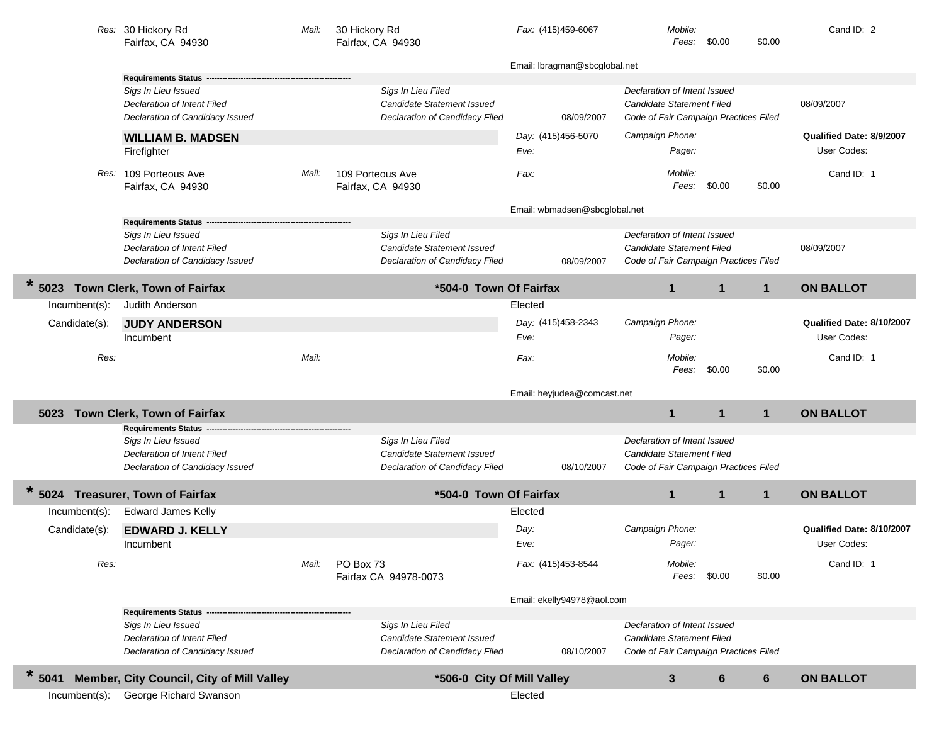|                  | Res: 30 Hickory Rd<br>Fairfax, CA 94930   | Mail: | 30 Hickory Rd<br>Fairfax, CA 94930 | Fax: (415)459-6067            | Mobile:<br>Fees:                      | \$0.00       | \$0.00       | Cand ID: 2                |
|------------------|-------------------------------------------|-------|------------------------------------|-------------------------------|---------------------------------------|--------------|--------------|---------------------------|
|                  |                                           |       |                                    | Email: Ibragman@sbcglobal.net |                                       |              |              |                           |
|                  | Requirements Status ---                   |       |                                    |                               |                                       |              |              |                           |
|                  | Sigs In Lieu Issued                       |       | Sigs In Lieu Filed                 |                               | Declaration of Intent Issued          |              |              |                           |
|                  | Declaration of Intent Filed               |       | <b>Candidate Statement Issued</b>  |                               | <b>Candidate Statement Filed</b>      |              |              | 08/09/2007                |
|                  | Declaration of Candidacy Issued           |       | Declaration of Candidacy Filed     | 08/09/2007                    | Code of Fair Campaign Practices Filed |              |              |                           |
|                  | <b>WILLIAM B. MADSEN</b>                  |       |                                    | Day: (415)456-5070            | Campaign Phone:                       |              |              | Qualified Date: 8/9/2007  |
|                  | Firefighter                               |       |                                    | Eve:                          | Pager:                                |              |              | User Codes:               |
|                  | Res: 109 Porteous Ave                     | Mail: | 109 Porteous Ave                   | Fax:                          | Mobile:                               |              |              | Cand ID: 1                |
|                  | Fairfax, CA 94930                         |       | Fairfax, CA 94930                  |                               | Fees:                                 | \$0.00       | \$0.00       |                           |
|                  |                                           |       |                                    |                               |                                       |              |              |                           |
|                  | <b>Requirements Status</b>                |       |                                    | Email: wbmadsen@sbcglobal.net |                                       |              |              |                           |
|                  | Sigs In Lieu Issued                       |       | Sigs In Lieu Filed                 |                               | Declaration of Intent Issued          |              |              |                           |
|                  | Declaration of Intent Filed               |       | Candidate Statement Issued         |                               | <b>Candidate Statement Filed</b>      |              |              | 08/09/2007                |
|                  | Declaration of Candidacy Issued           |       | Declaration of Candidacy Filed     | 08/09/2007                    | Code of Fair Campaign Practices Filed |              |              |                           |
|                  | 5023 Town Clerk, Town of Fairfax          |       | *504-0 Town Of Fairfax             |                               | $\mathbf{1}$                          | $\mathbf{1}$ | $\mathbf{1}$ | <b>ON BALLOT</b>          |
| Incumbent(s):    | Judith Anderson                           |       |                                    | Elected                       |                                       |              |              |                           |
| Candidate(s):    | <b>JUDY ANDERSON</b>                      |       |                                    | Day: (415)458-2343            | Campaign Phone:                       |              |              | Qualified Date: 8/10/2007 |
|                  | Incumbent                                 |       |                                    | Eve:                          | Pager:                                |              |              | User Codes:               |
|                  |                                           |       |                                    |                               |                                       |              |              |                           |
| Res:             |                                           | Mail: |                                    | Fax:                          | Mobile:<br>Fees: \$0.00               |              | \$0.00       | Cand ID: 1                |
|                  |                                           |       |                                    |                               |                                       |              |              |                           |
|                  |                                           |       |                                    | Email: heyjudea@comcast.net   |                                       |              |              |                           |
| 5023             | Town Clerk, Town of Fairfax               |       |                                    |                               | $\mathbf{1}$                          | $\mathbf{1}$ | $\mathbf{1}$ | <b>ON BALLOT</b>          |
|                  | <b>Requirements Status</b>                |       |                                    |                               |                                       |              |              |                           |
|                  | Sigs In Lieu Issued                       |       | Sigs In Lieu Filed                 |                               | Declaration of Intent Issued          |              |              |                           |
|                  | Declaration of Intent Filed               |       | Candidate Statement Issued         |                               | Candidate Statement Filed             |              |              |                           |
|                  | Declaration of Candidacy Issued           |       | Declaration of Candidacy Filed     | 08/10/2007                    | Code of Fair Campaign Practices Filed |              |              |                           |
|                  | 5024 Treasurer, Town of Fairfax           |       | *504-0 Town Of Fairfax             |                               | $\mathbf{1}$                          | $\mathbf{1}$ | $\mathbf{1}$ | <b>ON BALLOT</b>          |
| $Incumbent(s)$ : | <b>Edward James Kelly</b>                 |       |                                    | Elected                       |                                       |              |              |                           |
| Candidate(s):    | <b>EDWARD J. KELLY</b>                    |       |                                    | Day:                          | Campaign Phone:                       |              |              | Qualified Date: 8/10/2007 |
|                  | Incumbent                                 |       |                                    | Eve:                          | Pager:                                |              |              | User Codes:               |
|                  |                                           |       |                                    |                               |                                       |              |              |                           |
| Res:             |                                           | Mail: | PO Box 73                          | Fax: (415)453-8544            | Mobile:<br>Fees:                      | \$0.00       | \$0.00       | Cand ID: 1                |
|                  |                                           |       | Fairfax CA 94978-0073              |                               |                                       |              |              |                           |
|                  |                                           |       |                                    | Email: ekelly94978@aol.com    |                                       |              |              |                           |
|                  | <b>Requirements Status</b>                |       |                                    |                               |                                       |              |              |                           |
|                  | Sigs In Lieu Issued                       |       | Sigs In Lieu Filed                 |                               | Declaration of Intent Issued          |              |              |                           |
|                  | Declaration of Intent Filed               |       | Candidate Statement Issued         |                               | Candidate Statement Filed             |              |              |                           |
|                  | Declaration of Candidacy Issued           |       | Declaration of Candidacy Filed     | 08/10/2007                    | Code of Fair Campaign Practices Filed |              |              |                           |
| $\ast$<br>5041   | Member, City Council, City of Mill Valley |       | *506-0 City Of Mill Valley         |                               | 3                                     | 6            | 6            | <b>ON BALLOT</b>          |
| $Incumbent(s)$ : | George Richard Swanson                    |       |                                    | Elected                       |                                       |              |              |                           |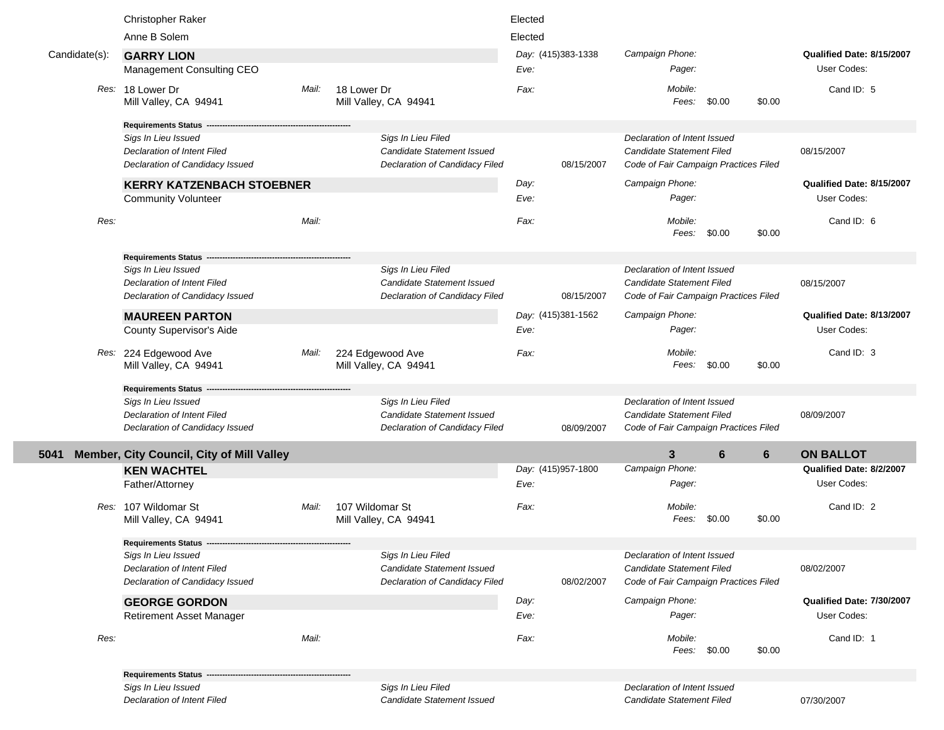| Anne B Solem<br>Elected<br>Day: (415)383-1338<br>Campaign Phone:<br>Qualified Date: 8/15/2007<br>Candidate(s):<br><b>GARRY LION</b><br>User Codes:<br>Management Consulting CEO<br>Eve:<br>Pager:<br>Res: 18 Lower Dr<br>18 Lower Dr<br>Mobile:<br>Cand ID: 5<br>Mail:<br>Fax:<br>\$0.00<br>\$0.00<br>Mill Valley, CA 94941<br>Mill Valley, CA 94941<br>Fees:<br><b>Requirements Status</b><br>Sigs In Lieu Filed<br>Declaration of Intent Issued<br>Sigs In Lieu Issued<br><b>Candidate Statement Issued</b><br>Candidate Statement Filed<br>08/15/2007<br><b>Declaration of Intent Filed</b><br>Declaration of Candidacy Issued<br>Declaration of Candidacy Filed<br>08/15/2007<br>Code of Fair Campaign Practices Filed<br>Campaign Phone:<br>Qualified Date: 8/15/2007<br><b>KERRY KATZENBACH STOEBNER</b><br>Day:<br>User Codes:<br><b>Community Volunteer</b><br>Eve:<br>Pager:<br>Res:<br>Mail:<br>Mobile:<br>Cand ID: 6<br>Fax:<br>Fees:<br>\$0.00<br>\$0.00<br>Requirements Status -<br>Sigs In Lieu Filed<br>Declaration of Intent Issued<br>Sigs In Lieu Issued<br><b>Candidate Statement Issued</b><br><b>Candidate Statement Filed</b><br><b>Declaration of Intent Filed</b><br>08/15/2007<br>Declaration of Candidacy Filed<br>Declaration of Candidacy Issued<br>08/15/2007<br>Code of Fair Campaign Practices Filed<br>Day: (415)381-1562<br>Campaign Phone:<br>Qualified Date: 8/13/2007<br><b>MAUREEN PARTON</b><br>User Codes:<br>County Supervisor's Aide<br>Eve:<br>Pager:<br>Cand ID: 3<br>Res: 224 Edgewood Ave<br>224 Edgewood Ave<br>Mobile:<br>Mail:<br>Fax:<br>Mill Valley, CA 94941<br>Fees:<br>\$0.00<br>\$0.00<br>Mill Valley, CA 94941<br><b>Requirements Status -</b><br>Sigs In Lieu Issued<br>Sigs In Lieu Filed<br>Declaration of Intent Issued<br>Declaration of Intent Filed<br><b>Candidate Statement Issued</b><br>Candidate Statement Filed<br>08/09/2007<br>Declaration of Candidacy Issued<br>Declaration of Candidacy Filed<br>Code of Fair Campaign Practices Filed<br>08/09/2007<br>Member, City Council, City of Mill Valley<br>$\mathbf{3}$<br>6<br>6<br><b>ON BALLOT</b><br>5041<br>Day: (415)957-1800<br>Campaign Phone:<br>Qualified Date: 8/2/2007<br><b>KEN WACHTEL</b><br>User Codes:<br>Eve:<br>Pager:<br>Father/Attorney<br>Mobile:<br>Res: 107 Wildomar St<br>Mail:<br>107 Wildomar St<br>Fax:<br>Cand ID: 2<br>\$0.00<br>Mill Valley, CA 94941<br>Mill Valley, CA 94941<br>Fees:<br>\$0.00<br><b>Requirements Status ----</b><br>Sigs In Lieu Issued<br>Sigs In Lieu Filed<br>Declaration of Intent Issued<br>Declaration of Intent Filed<br>Candidate Statement Issued<br><b>Candidate Statement Filed</b><br>08/02/2007<br>Declaration of Candidacy Issued<br>Declaration of Candidacy Filed<br>08/02/2007<br>Code of Fair Campaign Practices Filed<br>Campaign Phone:<br>Qualified Date: 7/30/2007<br>Day:<br><b>GEORGE GORDON</b><br>User Codes:<br>Pager:<br><b>Retirement Asset Manager</b><br>Eve: |
|--------------------------------------------------------------------------------------------------------------------------------------------------------------------------------------------------------------------------------------------------------------------------------------------------------------------------------------------------------------------------------------------------------------------------------------------------------------------------------------------------------------------------------------------------------------------------------------------------------------------------------------------------------------------------------------------------------------------------------------------------------------------------------------------------------------------------------------------------------------------------------------------------------------------------------------------------------------------------------------------------------------------------------------------------------------------------------------------------------------------------------------------------------------------------------------------------------------------------------------------------------------------------------------------------------------------------------------------------------------------------------------------------------------------------------------------------------------------------------------------------------------------------------------------------------------------------------------------------------------------------------------------------------------------------------------------------------------------------------------------------------------------------------------------------------------------------------------------------------------------------------------------------------------------------------------------------------------------------------------------------------------------------------------------------------------------------------------------------------------------------------------------------------------------------------------------------------------------------------------------------------------------------------------------------------------------------------------------------------------------------------------------------------------------------------------------------------------------------------------------------------------------------------------------------------------------------------------------------------------------------------------------------------------------------------------------------------------------------------------------------------------------------------------------------------------------------------------------------------------------------------------------------------------------------------------------------------------------|
|                                                                                                                                                                                                                                                                                                                                                                                                                                                                                                                                                                                                                                                                                                                                                                                                                                                                                                                                                                                                                                                                                                                                                                                                                                                                                                                                                                                                                                                                                                                                                                                                                                                                                                                                                                                                                                                                                                                                                                                                                                                                                                                                                                                                                                                                                                                                                                                                                                                                                                                                                                                                                                                                                                                                                                                                                                                                                                                                                                    |
|                                                                                                                                                                                                                                                                                                                                                                                                                                                                                                                                                                                                                                                                                                                                                                                                                                                                                                                                                                                                                                                                                                                                                                                                                                                                                                                                                                                                                                                                                                                                                                                                                                                                                                                                                                                                                                                                                                                                                                                                                                                                                                                                                                                                                                                                                                                                                                                                                                                                                                                                                                                                                                                                                                                                                                                                                                                                                                                                                                    |
|                                                                                                                                                                                                                                                                                                                                                                                                                                                                                                                                                                                                                                                                                                                                                                                                                                                                                                                                                                                                                                                                                                                                                                                                                                                                                                                                                                                                                                                                                                                                                                                                                                                                                                                                                                                                                                                                                                                                                                                                                                                                                                                                                                                                                                                                                                                                                                                                                                                                                                                                                                                                                                                                                                                                                                                                                                                                                                                                                                    |
|                                                                                                                                                                                                                                                                                                                                                                                                                                                                                                                                                                                                                                                                                                                                                                                                                                                                                                                                                                                                                                                                                                                                                                                                                                                                                                                                                                                                                                                                                                                                                                                                                                                                                                                                                                                                                                                                                                                                                                                                                                                                                                                                                                                                                                                                                                                                                                                                                                                                                                                                                                                                                                                                                                                                                                                                                                                                                                                                                                    |
|                                                                                                                                                                                                                                                                                                                                                                                                                                                                                                                                                                                                                                                                                                                                                                                                                                                                                                                                                                                                                                                                                                                                                                                                                                                                                                                                                                                                                                                                                                                                                                                                                                                                                                                                                                                                                                                                                                                                                                                                                                                                                                                                                                                                                                                                                                                                                                                                                                                                                                                                                                                                                                                                                                                                                                                                                                                                                                                                                                    |
|                                                                                                                                                                                                                                                                                                                                                                                                                                                                                                                                                                                                                                                                                                                                                                                                                                                                                                                                                                                                                                                                                                                                                                                                                                                                                                                                                                                                                                                                                                                                                                                                                                                                                                                                                                                                                                                                                                                                                                                                                                                                                                                                                                                                                                                                                                                                                                                                                                                                                                                                                                                                                                                                                                                                                                                                                                                                                                                                                                    |
|                                                                                                                                                                                                                                                                                                                                                                                                                                                                                                                                                                                                                                                                                                                                                                                                                                                                                                                                                                                                                                                                                                                                                                                                                                                                                                                                                                                                                                                                                                                                                                                                                                                                                                                                                                                                                                                                                                                                                                                                                                                                                                                                                                                                                                                                                                                                                                                                                                                                                                                                                                                                                                                                                                                                                                                                                                                                                                                                                                    |
|                                                                                                                                                                                                                                                                                                                                                                                                                                                                                                                                                                                                                                                                                                                                                                                                                                                                                                                                                                                                                                                                                                                                                                                                                                                                                                                                                                                                                                                                                                                                                                                                                                                                                                                                                                                                                                                                                                                                                                                                                                                                                                                                                                                                                                                                                                                                                                                                                                                                                                                                                                                                                                                                                                                                                                                                                                                                                                                                                                    |
|                                                                                                                                                                                                                                                                                                                                                                                                                                                                                                                                                                                                                                                                                                                                                                                                                                                                                                                                                                                                                                                                                                                                                                                                                                                                                                                                                                                                                                                                                                                                                                                                                                                                                                                                                                                                                                                                                                                                                                                                                                                                                                                                                                                                                                                                                                                                                                                                                                                                                                                                                                                                                                                                                                                                                                                                                                                                                                                                                                    |
|                                                                                                                                                                                                                                                                                                                                                                                                                                                                                                                                                                                                                                                                                                                                                                                                                                                                                                                                                                                                                                                                                                                                                                                                                                                                                                                                                                                                                                                                                                                                                                                                                                                                                                                                                                                                                                                                                                                                                                                                                                                                                                                                                                                                                                                                                                                                                                                                                                                                                                                                                                                                                                                                                                                                                                                                                                                                                                                                                                    |
|                                                                                                                                                                                                                                                                                                                                                                                                                                                                                                                                                                                                                                                                                                                                                                                                                                                                                                                                                                                                                                                                                                                                                                                                                                                                                                                                                                                                                                                                                                                                                                                                                                                                                                                                                                                                                                                                                                                                                                                                                                                                                                                                                                                                                                                                                                                                                                                                                                                                                                                                                                                                                                                                                                                                                                                                                                                                                                                                                                    |
|                                                                                                                                                                                                                                                                                                                                                                                                                                                                                                                                                                                                                                                                                                                                                                                                                                                                                                                                                                                                                                                                                                                                                                                                                                                                                                                                                                                                                                                                                                                                                                                                                                                                                                                                                                                                                                                                                                                                                                                                                                                                                                                                                                                                                                                                                                                                                                                                                                                                                                                                                                                                                                                                                                                                                                                                                                                                                                                                                                    |
|                                                                                                                                                                                                                                                                                                                                                                                                                                                                                                                                                                                                                                                                                                                                                                                                                                                                                                                                                                                                                                                                                                                                                                                                                                                                                                                                                                                                                                                                                                                                                                                                                                                                                                                                                                                                                                                                                                                                                                                                                                                                                                                                                                                                                                                                                                                                                                                                                                                                                                                                                                                                                                                                                                                                                                                                                                                                                                                                                                    |
|                                                                                                                                                                                                                                                                                                                                                                                                                                                                                                                                                                                                                                                                                                                                                                                                                                                                                                                                                                                                                                                                                                                                                                                                                                                                                                                                                                                                                                                                                                                                                                                                                                                                                                                                                                                                                                                                                                                                                                                                                                                                                                                                                                                                                                                                                                                                                                                                                                                                                                                                                                                                                                                                                                                                                                                                                                                                                                                                                                    |
|                                                                                                                                                                                                                                                                                                                                                                                                                                                                                                                                                                                                                                                                                                                                                                                                                                                                                                                                                                                                                                                                                                                                                                                                                                                                                                                                                                                                                                                                                                                                                                                                                                                                                                                                                                                                                                                                                                                                                                                                                                                                                                                                                                                                                                                                                                                                                                                                                                                                                                                                                                                                                                                                                                                                                                                                                                                                                                                                                                    |
|                                                                                                                                                                                                                                                                                                                                                                                                                                                                                                                                                                                                                                                                                                                                                                                                                                                                                                                                                                                                                                                                                                                                                                                                                                                                                                                                                                                                                                                                                                                                                                                                                                                                                                                                                                                                                                                                                                                                                                                                                                                                                                                                                                                                                                                                                                                                                                                                                                                                                                                                                                                                                                                                                                                                                                                                                                                                                                                                                                    |
|                                                                                                                                                                                                                                                                                                                                                                                                                                                                                                                                                                                                                                                                                                                                                                                                                                                                                                                                                                                                                                                                                                                                                                                                                                                                                                                                                                                                                                                                                                                                                                                                                                                                                                                                                                                                                                                                                                                                                                                                                                                                                                                                                                                                                                                                                                                                                                                                                                                                                                                                                                                                                                                                                                                                                                                                                                                                                                                                                                    |
|                                                                                                                                                                                                                                                                                                                                                                                                                                                                                                                                                                                                                                                                                                                                                                                                                                                                                                                                                                                                                                                                                                                                                                                                                                                                                                                                                                                                                                                                                                                                                                                                                                                                                                                                                                                                                                                                                                                                                                                                                                                                                                                                                                                                                                                                                                                                                                                                                                                                                                                                                                                                                                                                                                                                                                                                                                                                                                                                                                    |
|                                                                                                                                                                                                                                                                                                                                                                                                                                                                                                                                                                                                                                                                                                                                                                                                                                                                                                                                                                                                                                                                                                                                                                                                                                                                                                                                                                                                                                                                                                                                                                                                                                                                                                                                                                                                                                                                                                                                                                                                                                                                                                                                                                                                                                                                                                                                                                                                                                                                                                                                                                                                                                                                                                                                                                                                                                                                                                                                                                    |
|                                                                                                                                                                                                                                                                                                                                                                                                                                                                                                                                                                                                                                                                                                                                                                                                                                                                                                                                                                                                                                                                                                                                                                                                                                                                                                                                                                                                                                                                                                                                                                                                                                                                                                                                                                                                                                                                                                                                                                                                                                                                                                                                                                                                                                                                                                                                                                                                                                                                                                                                                                                                                                                                                                                                                                                                                                                                                                                                                                    |
|                                                                                                                                                                                                                                                                                                                                                                                                                                                                                                                                                                                                                                                                                                                                                                                                                                                                                                                                                                                                                                                                                                                                                                                                                                                                                                                                                                                                                                                                                                                                                                                                                                                                                                                                                                                                                                                                                                                                                                                                                                                                                                                                                                                                                                                                                                                                                                                                                                                                                                                                                                                                                                                                                                                                                                                                                                                                                                                                                                    |
|                                                                                                                                                                                                                                                                                                                                                                                                                                                                                                                                                                                                                                                                                                                                                                                                                                                                                                                                                                                                                                                                                                                                                                                                                                                                                                                                                                                                                                                                                                                                                                                                                                                                                                                                                                                                                                                                                                                                                                                                                                                                                                                                                                                                                                                                                                                                                                                                                                                                                                                                                                                                                                                                                                                                                                                                                                                                                                                                                                    |
|                                                                                                                                                                                                                                                                                                                                                                                                                                                                                                                                                                                                                                                                                                                                                                                                                                                                                                                                                                                                                                                                                                                                                                                                                                                                                                                                                                                                                                                                                                                                                                                                                                                                                                                                                                                                                                                                                                                                                                                                                                                                                                                                                                                                                                                                                                                                                                                                                                                                                                                                                                                                                                                                                                                                                                                                                                                                                                                                                                    |
|                                                                                                                                                                                                                                                                                                                                                                                                                                                                                                                                                                                                                                                                                                                                                                                                                                                                                                                                                                                                                                                                                                                                                                                                                                                                                                                                                                                                                                                                                                                                                                                                                                                                                                                                                                                                                                                                                                                                                                                                                                                                                                                                                                                                                                                                                                                                                                                                                                                                                                                                                                                                                                                                                                                                                                                                                                                                                                                                                                    |
|                                                                                                                                                                                                                                                                                                                                                                                                                                                                                                                                                                                                                                                                                                                                                                                                                                                                                                                                                                                                                                                                                                                                                                                                                                                                                                                                                                                                                                                                                                                                                                                                                                                                                                                                                                                                                                                                                                                                                                                                                                                                                                                                                                                                                                                                                                                                                                                                                                                                                                                                                                                                                                                                                                                                                                                                                                                                                                                                                                    |
|                                                                                                                                                                                                                                                                                                                                                                                                                                                                                                                                                                                                                                                                                                                                                                                                                                                                                                                                                                                                                                                                                                                                                                                                                                                                                                                                                                                                                                                                                                                                                                                                                                                                                                                                                                                                                                                                                                                                                                                                                                                                                                                                                                                                                                                                                                                                                                                                                                                                                                                                                                                                                                                                                                                                                                                                                                                                                                                                                                    |
|                                                                                                                                                                                                                                                                                                                                                                                                                                                                                                                                                                                                                                                                                                                                                                                                                                                                                                                                                                                                                                                                                                                                                                                                                                                                                                                                                                                                                                                                                                                                                                                                                                                                                                                                                                                                                                                                                                                                                                                                                                                                                                                                                                                                                                                                                                                                                                                                                                                                                                                                                                                                                                                                                                                                                                                                                                                                                                                                                                    |
|                                                                                                                                                                                                                                                                                                                                                                                                                                                                                                                                                                                                                                                                                                                                                                                                                                                                                                                                                                                                                                                                                                                                                                                                                                                                                                                                                                                                                                                                                                                                                                                                                                                                                                                                                                                                                                                                                                                                                                                                                                                                                                                                                                                                                                                                                                                                                                                                                                                                                                                                                                                                                                                                                                                                                                                                                                                                                                                                                                    |
|                                                                                                                                                                                                                                                                                                                                                                                                                                                                                                                                                                                                                                                                                                                                                                                                                                                                                                                                                                                                                                                                                                                                                                                                                                                                                                                                                                                                                                                                                                                                                                                                                                                                                                                                                                                                                                                                                                                                                                                                                                                                                                                                                                                                                                                                                                                                                                                                                                                                                                                                                                                                                                                                                                                                                                                                                                                                                                                                                                    |
|                                                                                                                                                                                                                                                                                                                                                                                                                                                                                                                                                                                                                                                                                                                                                                                                                                                                                                                                                                                                                                                                                                                                                                                                                                                                                                                                                                                                                                                                                                                                                                                                                                                                                                                                                                                                                                                                                                                                                                                                                                                                                                                                                                                                                                                                                                                                                                                                                                                                                                                                                                                                                                                                                                                                                                                                                                                                                                                                                                    |
|                                                                                                                                                                                                                                                                                                                                                                                                                                                                                                                                                                                                                                                                                                                                                                                                                                                                                                                                                                                                                                                                                                                                                                                                                                                                                                                                                                                                                                                                                                                                                                                                                                                                                                                                                                                                                                                                                                                                                                                                                                                                                                                                                                                                                                                                                                                                                                                                                                                                                                                                                                                                                                                                                                                                                                                                                                                                                                                                                                    |
|                                                                                                                                                                                                                                                                                                                                                                                                                                                                                                                                                                                                                                                                                                                                                                                                                                                                                                                                                                                                                                                                                                                                                                                                                                                                                                                                                                                                                                                                                                                                                                                                                                                                                                                                                                                                                                                                                                                                                                                                                                                                                                                                                                                                                                                                                                                                                                                                                                                                                                                                                                                                                                                                                                                                                                                                                                                                                                                                                                    |
|                                                                                                                                                                                                                                                                                                                                                                                                                                                                                                                                                                                                                                                                                                                                                                                                                                                                                                                                                                                                                                                                                                                                                                                                                                                                                                                                                                                                                                                                                                                                                                                                                                                                                                                                                                                                                                                                                                                                                                                                                                                                                                                                                                                                                                                                                                                                                                                                                                                                                                                                                                                                                                                                                                                                                                                                                                                                                                                                                                    |
|                                                                                                                                                                                                                                                                                                                                                                                                                                                                                                                                                                                                                                                                                                                                                                                                                                                                                                                                                                                                                                                                                                                                                                                                                                                                                                                                                                                                                                                                                                                                                                                                                                                                                                                                                                                                                                                                                                                                                                                                                                                                                                                                                                                                                                                                                                                                                                                                                                                                                                                                                                                                                                                                                                                                                                                                                                                                                                                                                                    |
|                                                                                                                                                                                                                                                                                                                                                                                                                                                                                                                                                                                                                                                                                                                                                                                                                                                                                                                                                                                                                                                                                                                                                                                                                                                                                                                                                                                                                                                                                                                                                                                                                                                                                                                                                                                                                                                                                                                                                                                                                                                                                                                                                                                                                                                                                                                                                                                                                                                                                                                                                                                                                                                                                                                                                                                                                                                                                                                                                                    |
|                                                                                                                                                                                                                                                                                                                                                                                                                                                                                                                                                                                                                                                                                                                                                                                                                                                                                                                                                                                                                                                                                                                                                                                                                                                                                                                                                                                                                                                                                                                                                                                                                                                                                                                                                                                                                                                                                                                                                                                                                                                                                                                                                                                                                                                                                                                                                                                                                                                                                                                                                                                                                                                                                                                                                                                                                                                                                                                                                                    |
|                                                                                                                                                                                                                                                                                                                                                                                                                                                                                                                                                                                                                                                                                                                                                                                                                                                                                                                                                                                                                                                                                                                                                                                                                                                                                                                                                                                                                                                                                                                                                                                                                                                                                                                                                                                                                                                                                                                                                                                                                                                                                                                                                                                                                                                                                                                                                                                                                                                                                                                                                                                                                                                                                                                                                                                                                                                                                                                                                                    |
|                                                                                                                                                                                                                                                                                                                                                                                                                                                                                                                                                                                                                                                                                                                                                                                                                                                                                                                                                                                                                                                                                                                                                                                                                                                                                                                                                                                                                                                                                                                                                                                                                                                                                                                                                                                                                                                                                                                                                                                                                                                                                                                                                                                                                                                                                                                                                                                                                                                                                                                                                                                                                                                                                                                                                                                                                                                                                                                                                                    |
|                                                                                                                                                                                                                                                                                                                                                                                                                                                                                                                                                                                                                                                                                                                                                                                                                                                                                                                                                                                                                                                                                                                                                                                                                                                                                                                                                                                                                                                                                                                                                                                                                                                                                                                                                                                                                                                                                                                                                                                                                                                                                                                                                                                                                                                                                                                                                                                                                                                                                                                                                                                                                                                                                                                                                                                                                                                                                                                                                                    |
|                                                                                                                                                                                                                                                                                                                                                                                                                                                                                                                                                                                                                                                                                                                                                                                                                                                                                                                                                                                                                                                                                                                                                                                                                                                                                                                                                                                                                                                                                                                                                                                                                                                                                                                                                                                                                                                                                                                                                                                                                                                                                                                                                                                                                                                                                                                                                                                                                                                                                                                                                                                                                                                                                                                                                                                                                                                                                                                                                                    |
| Res:<br>Mail:<br>Mobile:<br>Cand ID: 1<br>Fax:                                                                                                                                                                                                                                                                                                                                                                                                                                                                                                                                                                                                                                                                                                                                                                                                                                                                                                                                                                                                                                                                                                                                                                                                                                                                                                                                                                                                                                                                                                                                                                                                                                                                                                                                                                                                                                                                                                                                                                                                                                                                                                                                                                                                                                                                                                                                                                                                                                                                                                                                                                                                                                                                                                                                                                                                                                                                                                                     |
| Fees:<br>\$0.00<br>\$0.00                                                                                                                                                                                                                                                                                                                                                                                                                                                                                                                                                                                                                                                                                                                                                                                                                                                                                                                                                                                                                                                                                                                                                                                                                                                                                                                                                                                                                                                                                                                                                                                                                                                                                                                                                                                                                                                                                                                                                                                                                                                                                                                                                                                                                                                                                                                                                                                                                                                                                                                                                                                                                                                                                                                                                                                                                                                                                                                                          |
|                                                                                                                                                                                                                                                                                                                                                                                                                                                                                                                                                                                                                                                                                                                                                                                                                                                                                                                                                                                                                                                                                                                                                                                                                                                                                                                                                                                                                                                                                                                                                                                                                                                                                                                                                                                                                                                                                                                                                                                                                                                                                                                                                                                                                                                                                                                                                                                                                                                                                                                                                                                                                                                                                                                                                                                                                                                                                                                                                                    |
| <b>Requirements Status</b>                                                                                                                                                                                                                                                                                                                                                                                                                                                                                                                                                                                                                                                                                                                                                                                                                                                                                                                                                                                                                                                                                                                                                                                                                                                                                                                                                                                                                                                                                                                                                                                                                                                                                                                                                                                                                                                                                                                                                                                                                                                                                                                                                                                                                                                                                                                                                                                                                                                                                                                                                                                                                                                                                                                                                                                                                                                                                                                                         |
| Sigs In Lieu Issued<br>Sigs In Lieu Filed<br>Declaration of Intent Issued                                                                                                                                                                                                                                                                                                                                                                                                                                                                                                                                                                                                                                                                                                                                                                                                                                                                                                                                                                                                                                                                                                                                                                                                                                                                                                                                                                                                                                                                                                                                                                                                                                                                                                                                                                                                                                                                                                                                                                                                                                                                                                                                                                                                                                                                                                                                                                                                                                                                                                                                                                                                                                                                                                                                                                                                                                                                                          |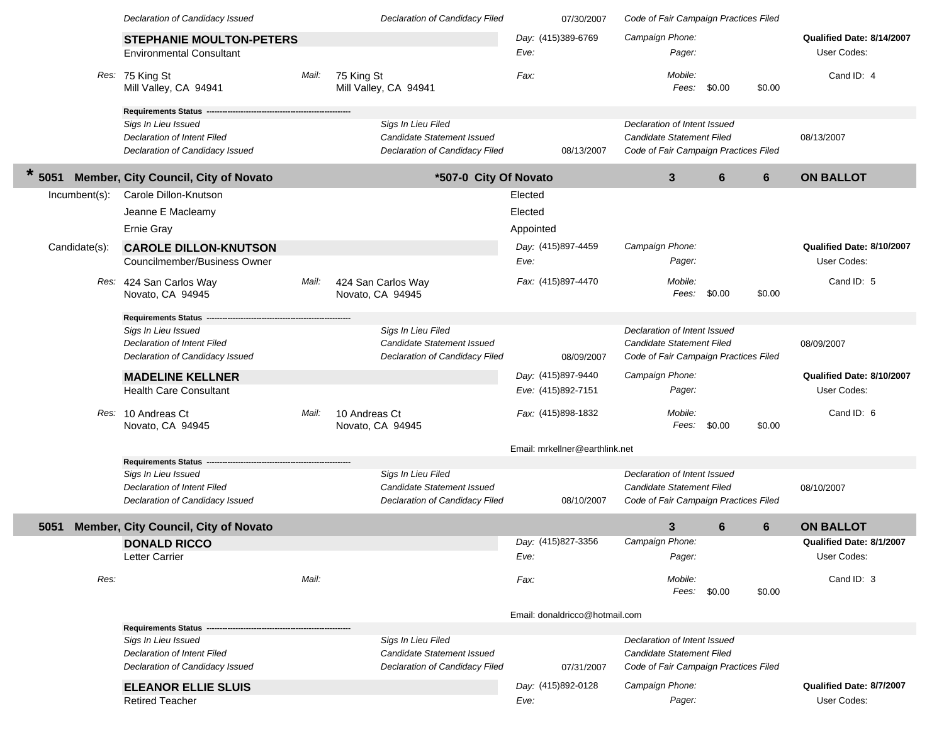|               | Declaration of Candidacy Issued                      |       | Declaration of Candidacy Filed      | 07/30/2007                     | Code of Fair Campaign Practices Filed |                      |                           |
|---------------|------------------------------------------------------|-------|-------------------------------------|--------------------------------|---------------------------------------|----------------------|---------------------------|
|               | <b>STEPHANIE MOULTON-PETERS</b>                      |       |                                     | Day: (415)389-6769             | Campaign Phone:                       |                      | Qualified Date: 8/14/2007 |
|               | <b>Environmental Consultant</b>                      |       |                                     | Eve:                           | Pager:                                |                      | User Codes:               |
|               |                                                      |       |                                     |                                |                                       |                      |                           |
|               | Res: 75 King St<br>Mill Valley, CA 94941             | Mail: | 75 King St<br>Mill Valley, CA 94941 | Fax:                           | Mobile:<br>Fees: \$0.00               | \$0.00               | Cand ID: 4                |
|               |                                                      |       |                                     |                                |                                       |                      |                           |
|               | <b>Requirements Status</b>                           |       |                                     |                                |                                       |                      |                           |
|               | Sigs In Lieu Issued                                  |       | Sigs In Lieu Filed                  |                                | Declaration of Intent Issued          |                      |                           |
|               | Declaration of Intent Filed                          |       | Candidate Statement Issued          |                                | Candidate Statement Filed             |                      | 08/13/2007                |
|               | Declaration of Candidacy Issued                      |       | Declaration of Candidacy Filed      | 08/13/2007                     | Code of Fair Campaign Practices Filed |                      |                           |
| 5051          | <b>Member, City Council, City of Novato</b>          |       | *507-0 City Of Novato               |                                | $\mathbf{3}$                          | 6<br>$6\phantom{1}6$ | <b>ON BALLOT</b>          |
| Incumbent(s): | Carole Dillon-Knutson                                |       |                                     | Elected                        |                                       |                      |                           |
|               | Jeanne E Macleamy                                    |       |                                     | Elected                        |                                       |                      |                           |
|               | Ernie Gray                                           |       |                                     | Appointed                      |                                       |                      |                           |
|               |                                                      |       |                                     |                                |                                       |                      |                           |
| Candidate(s): | <b>CAROLE DILLON-KNUTSON</b>                         |       |                                     | Day: (415)897-4459             | Campaign Phone:                       |                      | Qualified Date: 8/10/2007 |
|               | Councilmember/Business Owner                         |       |                                     | Eve:                           | Pager:                                |                      | User Codes:               |
|               | Res: 424 San Carlos Way                              | Mail: | 424 San Carlos Way                  | Fax: (415)897-4470             | Mobile:                               |                      | Cand ID: 5                |
|               | Novato, CA 94945                                     |       | Novato, CA 94945                    |                                | Fees: \$0.00                          | \$0.00               |                           |
|               | <b>Requirements Status</b>                           |       |                                     |                                |                                       |                      |                           |
|               | Sigs In Lieu Issued                                  |       | Sigs In Lieu Filed                  |                                | Declaration of Intent Issued          |                      |                           |
|               | Declaration of Intent Filed                          |       | Candidate Statement Issued          |                                | Candidate Statement Filed             |                      | 08/09/2007                |
|               | Declaration of Candidacy Issued                      |       | Declaration of Candidacy Filed      | 08/09/2007                     | Code of Fair Campaign Practices Filed |                      |                           |
|               | <b>MADELINE KELLNER</b>                              |       |                                     | Day: (415)897-9440             | Campaign Phone:                       |                      | Qualified Date: 8/10/2007 |
|               | <b>Health Care Consultant</b>                        |       |                                     | Eve: (415)892-7151             | Pager:                                |                      | User Codes:               |
|               |                                                      |       |                                     |                                |                                       |                      |                           |
|               | Res: 10 Andreas Ct                                   | Mail: | 10 Andreas Ct                       | Fax: (415)898-1832             | Mobile:                               |                      | Cand ID: 6                |
|               | Novato, CA 94945                                     |       | Novato, CA 94945                    |                                | Fees:                                 | \$0.00<br>\$0.00     |                           |
|               |                                                      |       |                                     | Email: mrkellner@earthlink.net |                                       |                      |                           |
|               | <b>Requirements Status</b>                           |       |                                     |                                |                                       |                      |                           |
|               | Sigs In Lieu Issued                                  |       | Sigs In Lieu Filed                  |                                | Declaration of Intent Issued          |                      |                           |
|               | <b>Declaration of Intent Filed</b>                   |       | Candidate Statement Issued          |                                | <b>Candidate Statement Filed</b>      |                      | 08/10/2007                |
|               | Declaration of Candidacy Issued                      |       | Declaration of Candidacy Filed      | 08/10/2007                     | Code of Fair Campaign Practices Filed |                      |                           |
| 5051          | Member, City Council, City of Novato                 |       |                                     |                                | $\mathbf{3}$                          | 6<br>6               | <b>ON BALLOT</b>          |
|               | <b>DONALD RICCO</b>                                  |       |                                     | Day: (415)827-3356             | Campaign Phone:                       |                      | Qualified Date: 8/1/2007  |
|               | Letter Carrier                                       |       |                                     | Eve:                           | Pager:                                |                      | User Codes:               |
| Res:          |                                                      | Mail: |                                     | Fax:                           | Mobile:                               |                      | Cand ID: 3                |
|               |                                                      |       |                                     |                                | Fees: \$0.00                          | \$0.00               |                           |
|               |                                                      |       |                                     |                                |                                       |                      |                           |
|               | <b>Requirements Status --</b>                        |       |                                     | Email: donaldricco@hotmail.com |                                       |                      |                           |
|               | Sigs In Lieu Issued                                  |       | Sigs In Lieu Filed                  |                                | Declaration of Intent Issued          |                      |                           |
|               | <b>Declaration of Intent Filed</b>                   |       | Candidate Statement Issued          |                                | Candidate Statement Filed             |                      |                           |
|               | Declaration of Candidacy Issued                      |       | Declaration of Candidacy Filed      | 07/31/2007                     | Code of Fair Campaign Practices Filed |                      |                           |
|               |                                                      |       |                                     | Day: (415)892-0128             | Campaign Phone:                       |                      | Qualified Date: 8/7/2007  |
|               | <b>ELEANOR ELLIE SLUIS</b><br><b>Retired Teacher</b> |       |                                     | Eve:                           | Pager:                                |                      | User Codes:               |
|               |                                                      |       |                                     |                                |                                       |                      |                           |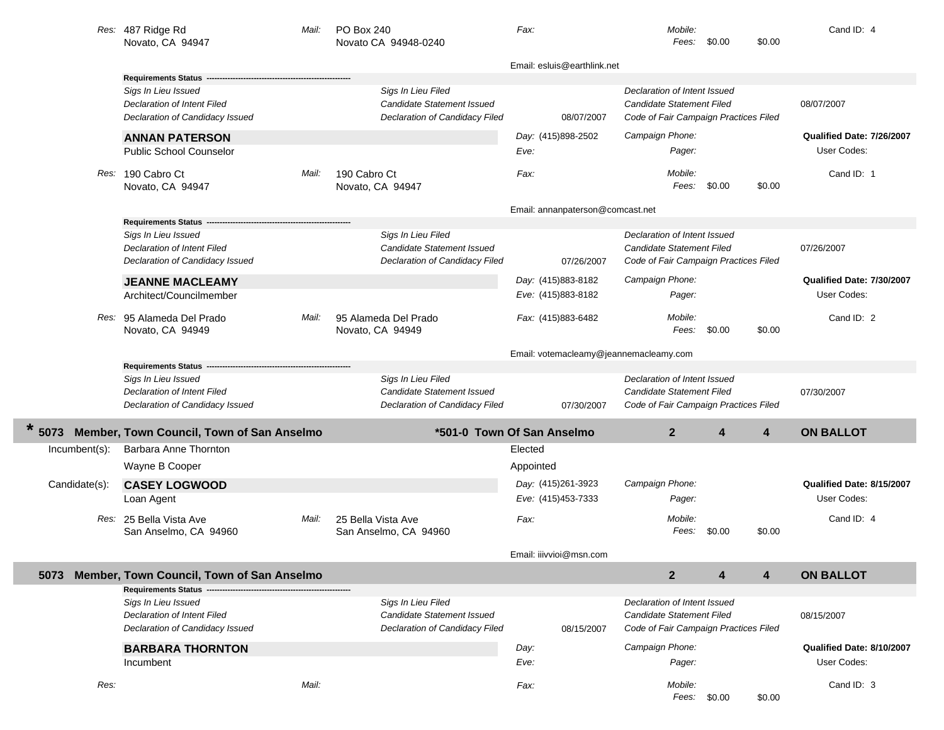|               | Res: 487 Ridge Rd<br>Novato, CA 94947     | Mail: | PO Box 240<br>Novato CA 94948-0240    | Fax:                                   | Mobile:<br>Fees:                      | \$0.00 | \$0.00 | Cand ID: 4                |
|---------------|-------------------------------------------|-------|---------------------------------------|----------------------------------------|---------------------------------------|--------|--------|---------------------------|
|               |                                           |       |                                       | Email: esluis@earthlink.net            |                                       |        |        |                           |
|               | <b>Requirements Status</b>                |       |                                       |                                        |                                       |        |        |                           |
|               | Sigs In Lieu Issued                       |       | Sigs In Lieu Filed                    |                                        | Declaration of Intent Issued          |        |        |                           |
|               | <b>Declaration of Intent Filed</b>        |       | <b>Candidate Statement Issued</b>     |                                        | Candidate Statement Filed             |        |        | 08/07/2007                |
|               | Declaration of Candidacy Issued           |       | Declaration of Candidacy Filed        | 08/07/2007                             | Code of Fair Campaign Practices Filed |        |        |                           |
|               | <b>ANNAN PATERSON</b>                     |       |                                       | Day: (415)898-2502                     | Campaign Phone:                       |        |        | Qualified Date: 7/26/2007 |
|               | <b>Public School Counselor</b>            |       |                                       | Eve:                                   | Pager:                                |        |        | User Codes:               |
|               | Res: 190 Cabro Ct                         | Mail: | 190 Cabro Ct                          | Fax:                                   | Mobile:                               |        |        | Cand ID: 1                |
|               | Novato, CA 94947                          |       | Novato, CA 94947                      |                                        | Fees:                                 | \$0.00 | \$0.00 |                           |
|               |                                           |       |                                       | Email: annanpaterson@comcast.net       |                                       |        |        |                           |
|               | <b>Requirements Status</b>                |       |                                       |                                        |                                       |        |        |                           |
|               | Sigs In Lieu Issued                       |       | Sigs In Lieu Filed                    |                                        | Declaration of Intent Issued          |        |        |                           |
|               | <b>Declaration of Intent Filed</b>        |       | <b>Candidate Statement Issued</b>     |                                        | Candidate Statement Filed             |        |        | 07/26/2007                |
|               | Declaration of Candidacy Issued           |       | Declaration of Candidacy Filed        | 07/26/2007                             | Code of Fair Campaign Practices Filed |        |        |                           |
|               | <b>JEANNE MACLEAMY</b>                    |       |                                       | Day: (415)883-8182                     | Campaign Phone:                       |        |        | Qualified Date: 7/30/2007 |
|               | Architect/Councilmember                   |       |                                       | Eve: (415)883-8182                     | Pager:                                |        |        | User Codes:               |
|               | Res: 95 Alameda Del Prado                 | Mail: | 95 Alameda Del Prado                  | Fax: (415)883-6482                     | Mobile:                               |        |        | Cand ID: 2                |
|               | Novato, CA 94949                          |       | Novato, CA 94949                      |                                        | Fees:                                 | \$0.00 | \$0.00 |                           |
|               |                                           |       |                                       | Email: votemacleamy@jeannemacleamy.com |                                       |        |        |                           |
|               | <b>Requirements Status</b>                |       |                                       |                                        |                                       |        |        |                           |
|               |                                           |       |                                       |                                        |                                       |        |        |                           |
|               | Sigs In Lieu Issued                       |       | Sigs In Lieu Filed                    |                                        | Declaration of Intent Issued          |        |        |                           |
|               | Declaration of Intent Filed               |       | <b>Candidate Statement Issued</b>     |                                        | Candidate Statement Filed             |        |        | 07/30/2007                |
|               | Declaration of Candidacy Issued           |       | Declaration of Candidacy Filed        | 07/30/2007                             | Code of Fair Campaign Practices Filed |        |        |                           |
| 5073          | Member, Town Council, Town of San Anselmo |       |                                       | *501-0 Town Of San Anselmo             | 2 <sup>2</sup>                        | 4      | 4      | <b>ON BALLOT</b>          |
| Incumbent(s): | Barbara Anne Thornton                     |       |                                       | Elected                                |                                       |        |        |                           |
|               | Wayne B Cooper                            |       |                                       | Appointed                              |                                       |        |        |                           |
|               |                                           |       |                                       |                                        |                                       |        |        | Qualified Date: 8/15/2007 |
| Candidate(s): | <b>CASEY LOGWOOD</b>                      |       |                                       | Day: (415)261-3923                     | Campaign Phone:                       |        |        |                           |
|               | Loan Agent                                |       |                                       | Eve: (415)453-7333                     | Pager:                                |        |        | User Codes:               |
|               | Res: 25 Bella Vista Ave                   | Mail: | 25 Bella Vista Ave                    | Fax:                                   | Mobile:                               |        |        | Cand ID: 4                |
|               | San Anselmo, CA 94960                     |       | San Anselmo, CA 94960                 |                                        | Fees:                                 | \$0.00 | \$0.00 |                           |
|               |                                           |       |                                       | Email: iiivvioi@msn.com                |                                       |        |        |                           |
| 5073          | Member, Town Council, Town of San Anselmo |       |                                       |                                        | 2 <sup>2</sup>                        | 4      | 4      | <b>ON BALLOT</b>          |
|               | Requirements Status -                     |       |                                       |                                        |                                       |        |        |                           |
|               | Sigs In Lieu Issued                       |       | Sigs In Lieu Filed                    |                                        | Declaration of Intent Issued          |        |        |                           |
|               | Declaration of Intent Filed               |       | Candidate Statement Issued            |                                        | Candidate Statement Filed             |        |        | 08/15/2007                |
|               | Declaration of Candidacy Issued           |       | <b>Declaration of Candidacy Filed</b> | 08/15/2007                             | Code of Fair Campaign Practices Filed |        |        |                           |
|               | <b>BARBARA THORNTON</b>                   |       |                                       | Day:                                   | Campaign Phone:                       |        |        | Qualified Date: 8/10/2007 |
|               | Incumbent                                 |       |                                       | Eve:                                   | Pager:                                |        |        | User Codes:               |
| Res:          |                                           | Mail: |                                       | Fax:                                   | Mobile:<br>Fees:                      | \$0.00 | \$0.00 | Cand ID: 3                |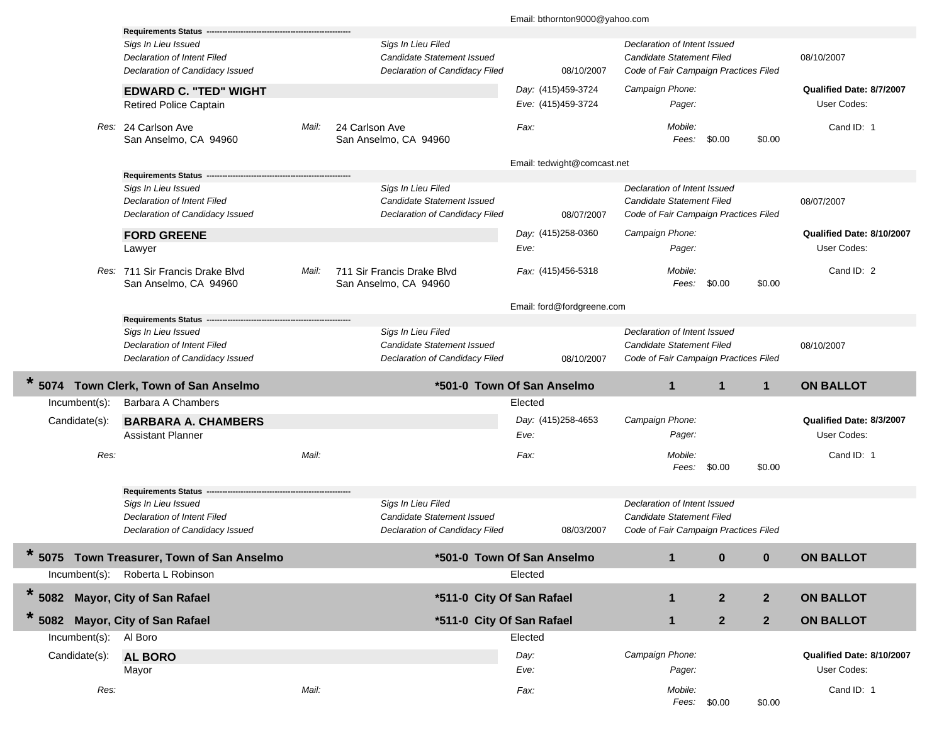|                       | <b>Requirements Status</b>                                                                   |       |                                                                                           | Email: bthornton9000@yahoo.com           |                                                                                                    |                |                                          |
|-----------------------|----------------------------------------------------------------------------------------------|-------|-------------------------------------------------------------------------------------------|------------------------------------------|----------------------------------------------------------------------------------------------------|----------------|------------------------------------------|
|                       | Sigs In Lieu Issued<br><b>Declaration of Intent Filed</b><br>Declaration of Candidacy Issued |       | Sigs In Lieu Filed<br>Candidate Statement Issued<br>Declaration of Candidacy Filed        | 08/10/2007                               | Declaration of Intent Issued<br>Candidate Statement Filed<br>Code of Fair Campaign Practices Filed |                | 08/10/2007                               |
|                       | <b>EDWARD C. "TED" WIGHT</b><br><b>Retired Police Captain</b>                                |       |                                                                                           | Day: (415)459-3724<br>Eve: (415)459-3724 | Campaign Phone:<br>Pager:                                                                          |                | Qualified Date: 8/7/2007<br>User Codes:  |
|                       | Res: 24 Carlson Ave<br>San Anselmo, CA 94960                                                 | Mail: | 24 Carlson Ave<br>San Anselmo, CA 94960                                                   | Fax:                                     | Mobile:<br>Fees:<br>\$0.00                                                                         | \$0.00         | Cand ID: 1                               |
|                       |                                                                                              |       |                                                                                           | Email: tedwight@comcast.net              |                                                                                                    |                |                                          |
|                       | <b>Requirements Status</b>                                                                   |       |                                                                                           |                                          |                                                                                                    |                |                                          |
|                       | Sigs In Lieu Issued<br>Declaration of Intent Filed<br>Declaration of Candidacy Issued        |       | Sigs In Lieu Filed<br><b>Candidate Statement Issued</b><br>Declaration of Candidacy Filed | 08/07/2007                               | Declaration of Intent Issued<br>Candidate Statement Filed<br>Code of Fair Campaign Practices Filed |                | 08/07/2007                               |
|                       | <b>FORD GREENE</b>                                                                           |       |                                                                                           | Day: (415)258-0360                       | Campaign Phone:                                                                                    |                | Qualified Date: 8/10/2007                |
|                       | Lawyer                                                                                       |       |                                                                                           | Eve:                                     | Pager:                                                                                             |                | User Codes:                              |
|                       | Res: 711 Sir Francis Drake Blvd<br>San Anselmo, CA 94960                                     | Mail: | 711 Sir Francis Drake Blvd<br>San Anselmo, CA 94960                                       | Fax: (415)456-5318                       | Mobile:<br>\$0.00<br>Fees:                                                                         | \$0.00         | Cand ID: 2                               |
|                       |                                                                                              |       |                                                                                           | Email: ford@fordgreene.com               |                                                                                                    |                |                                          |
|                       | <b>Requirements Status</b>                                                                   |       |                                                                                           |                                          |                                                                                                    |                |                                          |
|                       | Sigs In Lieu Issued<br>Declaration of Intent Filed<br>Declaration of Candidacy Issued        |       | Sigs In Lieu Filed<br><b>Candidate Statement Issued</b><br>Declaration of Candidacy Filed | 08/10/2007                               | Declaration of Intent Issued<br>Candidate Statement Filed<br>Code of Fair Campaign Practices Filed |                | 08/10/2007                               |
|                       | 5074 Town Clerk, Town of San Anselmo                                                         |       |                                                                                           | *501-0 Town Of San Anselmo               | $\mathbf{1}$<br>$\mathbf{1}$                                                                       | $\mathbf{1}$   | <b>ON BALLOT</b>                         |
| Incumbent(s):         | Barbara A Chambers                                                                           |       |                                                                                           | Elected                                  |                                                                                                    |                |                                          |
| Candidate(s):         | <b>BARBARA A. CHAMBERS</b>                                                                   |       |                                                                                           | Day: (415)258-4653                       | Campaign Phone:                                                                                    |                | Qualified Date: 8/3/2007                 |
|                       | <b>Assistant Planner</b>                                                                     |       |                                                                                           |                                          |                                                                                                    |                |                                          |
|                       |                                                                                              |       |                                                                                           | Eve:                                     | Pager:                                                                                             |                | User Codes:                              |
| Res:                  |                                                                                              | Mail: |                                                                                           | Fax:                                     | Mobile:<br>Fees:<br>\$0.00                                                                         | \$0.00         | Cand ID: 1                               |
|                       | <b>Requirements Status</b>                                                                   |       |                                                                                           |                                          |                                                                                                    |                |                                          |
|                       | Sigs In Lieu Issued<br>Declaration of Intent Filed<br>Declaration of Candidacy Issued        |       | Sigs In Lieu Filed<br><b>Candidate Statement Issued</b><br>Declaration of Candidacy Filed | 08/03/2007                               | Declaration of Intent Issued<br>Candidate Statement Filed<br>Code of Fair Campaign Practices Filed |                |                                          |
| $\star$               | 5075 Town Treasurer, Town of San Anselmo                                                     |       |                                                                                           | *501-0 Town Of San Anselmo               | $\mathbf 1$<br>$\bf{0}$                                                                            | $\bf{0}$       | <b>ON BALLOT</b>                         |
| Incumbent(s):         | Roberta L Robinson                                                                           |       |                                                                                           | Elected                                  |                                                                                                    |                |                                          |
|                       | <b>Mayor, City of San Rafael</b>                                                             |       | *511-0 City Of San Rafael                                                                 |                                          | $\boldsymbol{2}$<br>$\mathbf{1}$                                                                   | $\overline{2}$ | <b>ON BALLOT</b>                         |
| $*5082$<br>*          | 5082 Mayor, City of San Rafael                                                               |       | *511-0 City Of San Rafael                                                                 |                                          | $\boldsymbol{2}$<br>1                                                                              | $\mathbf{2}$   | <b>ON BALLOT</b>                         |
| Incumbent(s): Al Boro |                                                                                              |       |                                                                                           | Elected                                  |                                                                                                    |                |                                          |
|                       |                                                                                              |       |                                                                                           |                                          |                                                                                                    |                |                                          |
| Candidate(s):         | <b>AL BORO</b><br>Mayor                                                                      |       |                                                                                           | Day:<br>Eve:                             | Campaign Phone:<br>Pager:                                                                          |                | Qualified Date: 8/10/2007<br>User Codes: |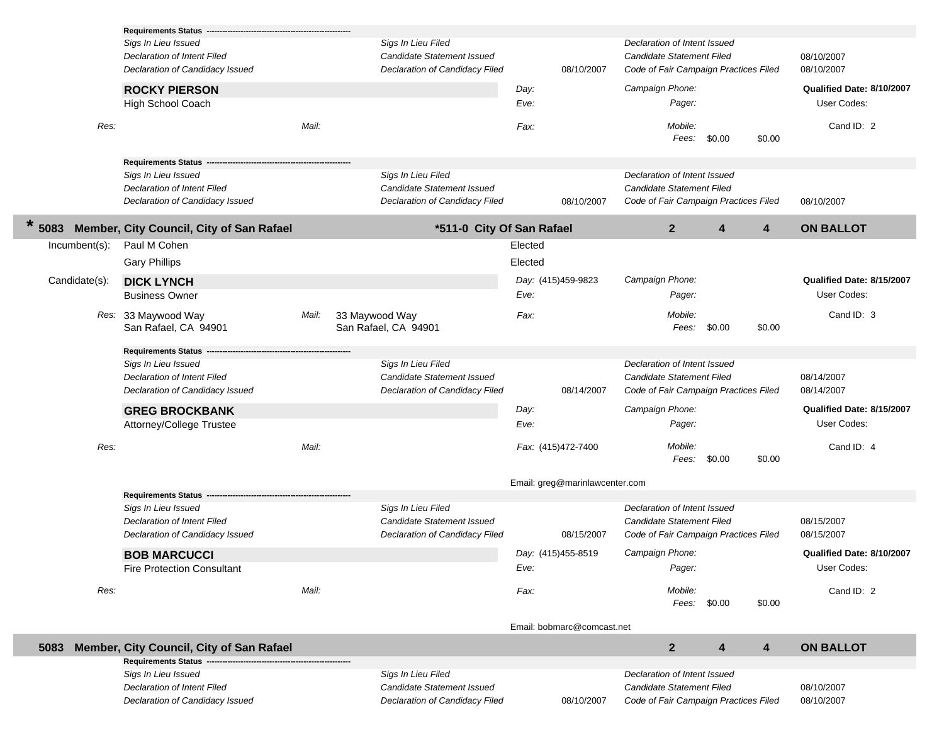|                  | <b>Requirements Status --</b>                  |       |                                        |         |                                |                                       |              |        |                           |
|------------------|------------------------------------------------|-------|----------------------------------------|---------|--------------------------------|---------------------------------------|--------------|--------|---------------------------|
|                  | Sigs In Lieu Issued                            |       | Sigs In Lieu Filed                     |         |                                | Declaration of Intent Issued          |              |        |                           |
|                  | Declaration of Intent Filed                    |       | Candidate Statement Issued             |         |                                | <b>Candidate Statement Filed</b>      |              |        | 08/10/2007                |
|                  | Declaration of Candidacy Issued                |       | Declaration of Candidacy Filed         |         | 08/10/2007                     | Code of Fair Campaign Practices Filed |              |        | 08/10/2007                |
|                  | <b>ROCKY PIERSON</b>                           |       |                                        | Day:    |                                | Campaign Phone:                       |              |        | Qualified Date: 8/10/2007 |
|                  | High School Coach                              |       |                                        | Eve:    |                                | Pager:                                |              |        | User Codes:               |
| Res:             |                                                | Mail: |                                        | Fax:    |                                | Mobile:<br>Fees:                      | \$0.00       | \$0.00 | Cand ID: 2                |
|                  | <b>Requirements Status</b>                     |       |                                        |         |                                |                                       |              |        |                           |
|                  | Sigs In Lieu Issued                            |       | Sigs In Lieu Filed                     |         |                                | Declaration of Intent Issued          |              |        |                           |
|                  | Declaration of Intent Filed                    |       | Candidate Statement Issued             |         |                                | Candidate Statement Filed             |              |        |                           |
|                  | Declaration of Candidacy Issued                |       | Declaration of Candidacy Filed         |         | 08/10/2007                     | Code of Fair Campaign Practices Filed |              |        | 08/10/2007                |
| 5083             | Member, City Council, City of San Rafael       |       | *511-0 City Of San Rafael              |         |                                | $\mathbf{2}$                          | 4            | 4      | <b>ON BALLOT</b>          |
| $Incumbent(s)$ : | Paul M Cohen                                   |       |                                        | Elected |                                |                                       |              |        |                           |
|                  | <b>Gary Phillips</b>                           |       |                                        | Elected |                                |                                       |              |        |                           |
| Candidate(s):    | <b>DICK LYNCH</b>                              |       |                                        |         | Day: (415)459-9823             | Campaign Phone:                       |              |        | Qualified Date: 8/15/2007 |
|                  | <b>Business Owner</b>                          |       |                                        | Eve:    |                                | Pager:                                |              |        | User Codes:               |
|                  | Res: 33 Maywood Way<br>San Rafael, CA 94901    | Mail: | 33 Maywood Way<br>San Rafael, CA 94901 | Fax:    |                                | Mobile:<br>Fees:                      | \$0.00       | \$0.00 | Cand ID: 3                |
|                  | <b>Requirements Status</b>                     |       |                                        |         |                                |                                       |              |        |                           |
|                  | Sigs In Lieu Issued                            |       | Sigs In Lieu Filed                     |         |                                | Declaration of Intent Issued          |              |        |                           |
|                  | Declaration of Intent Filed                    |       | Candidate Statement Issued             |         |                                | Candidate Statement Filed             |              |        | 08/14/2007                |
|                  | Declaration of Candidacy Issued                |       | Declaration of Candidacy Filed         |         | 08/14/2007                     | Code of Fair Campaign Practices Filed |              |        | 08/14/2007                |
|                  | <b>GREG BROCKBANK</b>                          |       |                                        | Day:    |                                | Campaign Phone:                       |              |        | Qualified Date: 8/15/2007 |
|                  | Attorney/College Trustee                       |       |                                        | Eve:    |                                | Pager:                                |              |        | User Codes:               |
| Res:             |                                                | Mail: |                                        |         | Fax: (415)472-7400             | Mobile:<br>Fees:                      | \$0.00       | \$0.00 | Cand ID: 4                |
|                  |                                                |       |                                        |         | Email: greg@marinlawcenter.com |                                       |              |        |                           |
|                  | <b>Requirements Status</b>                     |       |                                        |         |                                |                                       |              |        |                           |
|                  | Sigs In Lieu Issued                            |       | Sigs In Lieu Filed                     |         |                                | Declaration of Intent Issued          |              |        |                           |
|                  | Declaration of Intent Filed                    |       | Candidate Statement Issued             |         |                                | Candidate Statement Filed             |              |        | 08/15/2007                |
|                  | Declaration of Candidacy Issued                |       | Declaration of Candidacy Filed         |         | 08/15/2007                     | Code of Fair Campaign Practices Filed |              |        | 08/15/2007                |
|                  | <b>BOB MARCUCCI</b>                            |       |                                        |         | Day: (415)455-8519             | Campaign Phone:                       |              |        | Qualified Date: 8/10/2007 |
|                  | <b>Fire Protection Consultant</b>              |       |                                        | Eve:    |                                | Pager:                                |              |        | User Codes:               |
| Res:             |                                                | Mail: |                                        | Fax:    |                                | Mobile:                               |              |        | Cand ID: 2                |
|                  |                                                |       |                                        |         |                                |                                       | Fees: \$0.00 | \$0.00 |                           |
|                  |                                                |       |                                        |         | Email: bobmarc@comcast.net     |                                       |              |        |                           |
| 5083             | Member, City Council, City of San Rafael       |       |                                        |         |                                | $\overline{2}$                        | 4            | 4      | <b>ON BALLOT</b>          |
|                  | Requirements Status ---<br>Sigs In Lieu Issued |       | Sigs In Lieu Filed                     |         |                                | Declaration of Intent Issued          |              |        |                           |
|                  | <b>Declaration of Intent Filed</b>             |       | Candidate Statement Issued             |         |                                | Candidate Statement Filed             |              |        | 08/10/2007                |
|                  | Declaration of Candidacy Issued                |       | Declaration of Candidacy Filed         |         | 08/10/2007                     | Code of Fair Campaign Practices Filed |              |        | 08/10/2007                |
|                  |                                                |       |                                        |         |                                |                                       |              |        |                           |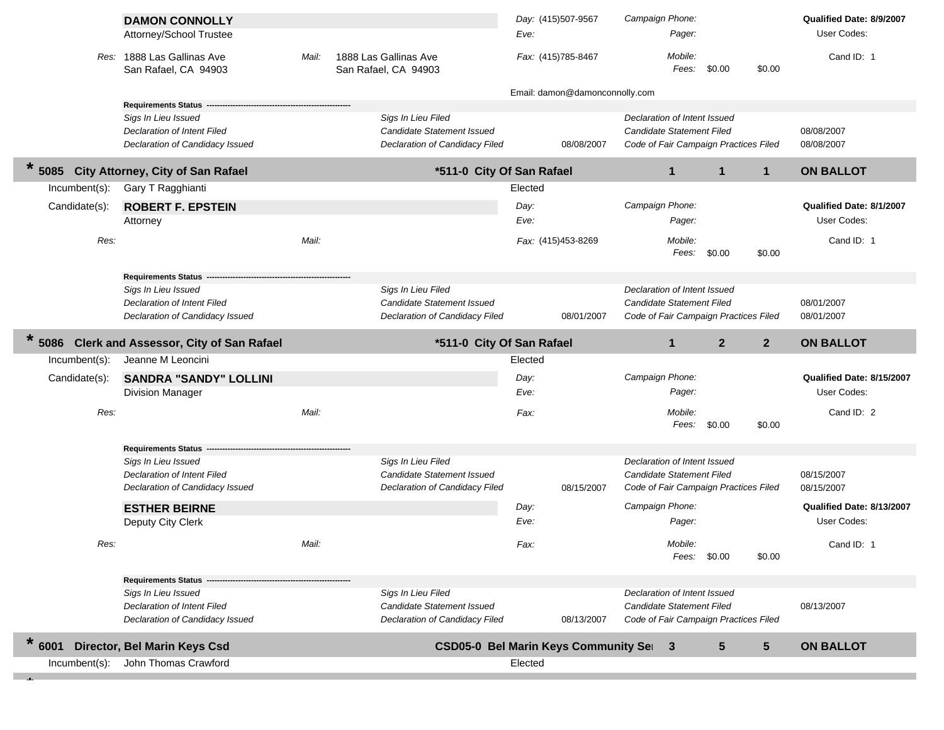|                  | <b>DAMON CONNOLLY</b><br>Attorney/School Trustee   |       |                                                  | Eve:    | Day: (415)507-9567             | Campaign Phone:<br>Pager:                                 |                 | Qualified Date: 8/9/2007<br>User Codes: |
|------------------|----------------------------------------------------|-------|--------------------------------------------------|---------|--------------------------------|-----------------------------------------------------------|-----------------|-----------------------------------------|
|                  | Res: 1888 Las Gallinas Ave<br>San Rafael, CA 94903 | Mail: | 1888 Las Gallinas Ave<br>San Rafael, CA 94903    |         | Fax: (415)785-8467             | Mobile:<br>Fees:<br>\$0.00                                | \$0.00          | Cand ID: 1                              |
|                  |                                                    |       |                                                  |         | Email: damon@damonconnolly.com |                                                           |                 |                                         |
|                  | Requirements Status ----                           |       |                                                  |         |                                |                                                           |                 |                                         |
|                  | Sigs In Lieu Issued<br>Declaration of Intent Filed |       | Sigs In Lieu Filed<br>Candidate Statement Issued |         |                                | Declaration of Intent Issued<br>Candidate Statement Filed |                 | 08/08/2007                              |
|                  | Declaration of Candidacy Issued                    |       | Declaration of Candidacy Filed                   |         | 08/08/2007                     | Code of Fair Campaign Practices Filed                     |                 | 08/08/2007                              |
| $\ast$<br>5085   | <b>City Attorney, City of San Rafael</b>           |       | *511-0 City Of San Rafael                        |         |                                | $\mathbf{1}$<br>$\mathbf{1}$                              | $\mathbf{1}$    | <b>ON BALLOT</b>                        |
| Incumbent(s):    | Gary T Ragghianti                                  |       |                                                  | Elected |                                |                                                           |                 |                                         |
| Candidate(s):    | <b>ROBERT F. EPSTEIN</b>                           |       |                                                  | Day:    |                                | Campaign Phone:                                           |                 | Qualified Date: 8/1/2007                |
|                  | Attorney                                           |       |                                                  | Eve:    |                                | Pager:                                                    |                 | User Codes:                             |
| Res:             |                                                    | Mail: |                                                  |         | Fax: (415)453-8269             | Mobile:<br>\$0.00<br>Fees:                                | \$0.00          | Cand ID: 1                              |
|                  | Requirements Status ----                           |       |                                                  |         |                                |                                                           |                 |                                         |
|                  | Sigs In Lieu Issued                                |       | Sigs In Lieu Filed                               |         |                                | Declaration of Intent Issued                              |                 |                                         |
|                  | Declaration of Intent Filed                        |       | Candidate Statement Issued                       |         |                                | Candidate Statement Filed                                 |                 | 08/01/2007                              |
|                  | Declaration of Candidacy Issued                    |       | Declaration of Candidacy Filed                   |         | 08/01/2007                     | Code of Fair Campaign Practices Filed                     |                 | 08/01/2007                              |
| $\star$<br>5086  | <b>Clerk and Assessor, City of San Rafael</b>      |       | *511-0 City Of San Rafael                        |         |                                | $\mathbf{1}$<br>$\mathbf{2}$                              | $\mathbf{2}$    | <b>ON BALLOT</b>                        |
| $Incumbent(s)$ : | Jeanne M Leoncini                                  |       |                                                  | Elected |                                |                                                           |                 |                                         |
| Candidate(s):    | <b>SANDRA "SANDY" LOLLINI</b>                      |       |                                                  | Day:    |                                | Campaign Phone:                                           |                 | Qualified Date: 8/15/2007               |
|                  | <b>Division Manager</b>                            |       |                                                  | Eve:    |                                | Pager:                                                    |                 | User Codes:                             |
| Res:             |                                                    | Mail: |                                                  | Fax:    |                                | Mobile:<br>\$0.00<br>Fees:                                | \$0.00          | Cand ID: 2                              |
|                  | <b>Requirements Status ---</b>                     |       |                                                  |         |                                |                                                           |                 |                                         |
|                  | Sigs In Lieu Issued                                |       | Sigs In Lieu Filed                               |         |                                | Declaration of Intent Issued                              |                 |                                         |
|                  | <b>Declaration of Intent Filed</b>                 |       | Candidate Statement Issued                       |         |                                | Candidate Statement Filed                                 |                 | 08/15/2007                              |
|                  | Declaration of Candidacy Issued                    |       | Declaration of Candidacy Filed                   |         | 08/15/2007                     | Code of Fair Campaign Practices Filed                     |                 | 08/15/2007                              |
|                  | <b>ESTHER BEIRNE</b>                               |       |                                                  | Day:    |                                | Campaign Phone:                                           |                 | Qualified Date: 8/13/2007               |
|                  | Deputy City Clerk                                  |       |                                                  | Eve:    |                                | Pager:                                                    |                 | User Codes:                             |
| Res:             |                                                    | Mail: |                                                  | Fax:    |                                | Mobile:<br>Fees: \$0.00                                   | \$0.00          | Cand ID: 1                              |
|                  | <b>Requirements Status</b>                         |       |                                                  |         |                                |                                                           |                 |                                         |
|                  | Sigs In Lieu Issued                                |       | Sigs In Lieu Filed                               |         |                                | Declaration of Intent Issued                              |                 |                                         |
|                  | Declaration of Intent Filed                        |       | Candidate Statement Issued                       |         |                                | <b>Candidate Statement Filed</b>                          |                 | 08/13/2007                              |
|                  | Declaration of Candidacy Issued                    |       | Declaration of Candidacy Filed                   |         | 08/13/2007                     | Code of Fair Campaign Practices Filed                     |                 |                                         |
| $\star$<br>6001  | Director, Bel Marin Keys Csd                       |       | CSD05-0 Bel Marin Keys Community Sel 3           |         |                                | $\overline{\mathbf{5}}$                                   | $5\phantom{.0}$ | <b>ON BALLOT</b>                        |
| $Incumbent(s)$ : | John Thomas Crawford                               |       |                                                  | Elected |                                |                                                           |                 |                                         |

**\***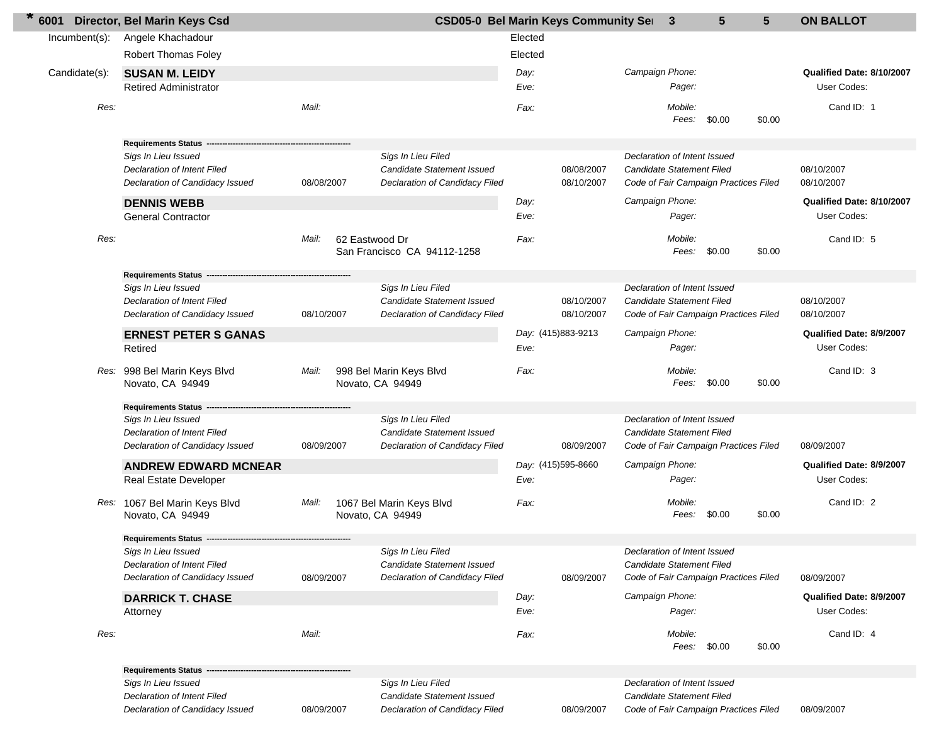| 6001          | Director, Bel Marin Keys Csd                        |            |                  | <b>CSD05-0 Bel Marin Keys Community Set</b>      |         |                    |                 | -3                                                        | 5 | $5\phantom{.0}$ | <b>ON BALLOT</b>          |
|---------------|-----------------------------------------------------|------------|------------------|--------------------------------------------------|---------|--------------------|-----------------|-----------------------------------------------------------|---|-----------------|---------------------------|
| Incumbent(s): | Angele Khachadour                                   |            |                  |                                                  | Elected |                    |                 |                                                           |   |                 |                           |
|               | <b>Robert Thomas Foley</b>                          |            |                  |                                                  | Elected |                    |                 |                                                           |   |                 |                           |
| Candidate(s): | <b>SUSAN M. LEIDY</b>                               |            |                  |                                                  | Day:    |                    | Campaign Phone: |                                                           |   |                 | Qualified Date: 8/10/2007 |
|               | <b>Retired Administrator</b>                        |            |                  |                                                  | Eve:    |                    |                 | Pager:                                                    |   |                 | User Codes:               |
| Res:          |                                                     | Mail:      |                  |                                                  | Fax:    |                    |                 | Mobile:<br>Fees:<br>\$0.00                                |   | \$0.00          | Cand ID: 1                |
|               | <b>Requirements Status</b>                          |            |                  |                                                  |         |                    |                 |                                                           |   |                 |                           |
|               | Sigs In Lieu Issued                                 |            |                  | Sigs In Lieu Filed                               |         |                    |                 | Declaration of Intent Issued                              |   |                 |                           |
|               | Declaration of Intent Filed                         |            |                  | <b>Candidate Statement Issued</b>                |         | 08/08/2007         |                 | Candidate Statement Filed                                 |   |                 | 08/10/2007                |
|               | Declaration of Candidacy Issued                     | 08/08/2007 |                  | Declaration of Candidacy Filed                   |         | 08/10/2007         |                 | Code of Fair Campaign Practices Filed                     |   |                 | 08/10/2007                |
|               | <b>DENNIS WEBB</b>                                  |            |                  |                                                  | Day:    |                    | Campaign Phone: |                                                           |   |                 | Qualified Date: 8/10/2007 |
|               | <b>General Contractor</b>                           |            |                  |                                                  | Eve:    |                    |                 | Pager:                                                    |   |                 | User Codes:               |
| Res:          |                                                     | Mail:      | 62 Eastwood Dr   |                                                  | Fax:    |                    |                 | Mobile:                                                   |   |                 | Cand ID: 5                |
|               |                                                     |            |                  | San Francisco CA 94112-1258                      |         |                    |                 | Fees:<br>\$0.00                                           |   | \$0.00          |                           |
|               | Requirements Status -                               |            |                  |                                                  |         |                    |                 |                                                           |   |                 |                           |
|               | Sigs In Lieu Issued                                 |            |                  | Sigs In Lieu Filed                               |         |                    |                 | Declaration of Intent Issued                              |   |                 |                           |
|               | <b>Declaration of Intent Filed</b>                  |            |                  | <b>Candidate Statement Issued</b>                |         | 08/10/2007         |                 | Candidate Statement Filed                                 |   |                 | 08/10/2007                |
|               | Declaration of Candidacy Issued                     | 08/10/2007 |                  | Declaration of Candidacy Filed                   |         | 08/10/2007         |                 | Code of Fair Campaign Practices Filed                     |   |                 | 08/10/2007                |
|               | <b>ERNEST PETER S GANAS</b>                         |            |                  |                                                  |         | Day: (415)883-9213 | Campaign Phone: |                                                           |   |                 | Qualified Date: 8/9/2007  |
|               | Retired                                             |            |                  |                                                  | Eve:    |                    |                 | Pager:                                                    |   |                 | User Codes:               |
|               | Res: 998 Bel Marin Keys Blvd<br>Novato, CA 94949    | Mail:      |                  | 998 Bel Marin Keys Blvd<br>Novato, CA 94949      | Fax:    |                    |                 | Mobile:<br>Fees:<br>\$0.00                                |   | \$0.00          | Cand ID: 3                |
|               | <b>Requirements Status</b>                          |            |                  |                                                  |         |                    |                 |                                                           |   |                 |                           |
|               | Sigs In Lieu Issued                                 |            |                  | Sigs In Lieu Filed                               |         |                    |                 | Declaration of Intent Issued                              |   |                 |                           |
|               | Declaration of Intent Filed                         |            |                  | Candidate Statement Issued                       |         |                    |                 | Candidate Statement Filed                                 |   |                 |                           |
|               | Declaration of Candidacy Issued                     | 08/09/2007 |                  | Declaration of Candidacy Filed                   |         | 08/09/2007         |                 | Code of Fair Campaign Practices Filed                     |   |                 | 08/09/2007                |
|               | <b>ANDREW EDWARD MCNEAR</b>                         |            |                  |                                                  |         | Day: (415)595-8660 | Campaign Phone: |                                                           |   |                 | Qualified Date: 8/9/2007  |
|               | Real Estate Developer                               |            |                  |                                                  | Eve:    |                    |                 | Pager:                                                    |   |                 | User Codes:               |
|               | Res: 1067 Bel Marin Keys Blvd<br>Novato, CA 94949   | Mail:      | Novato, CA 94949 | 1067 Bel Marin Keys Blvd                         | Fax:    |                    |                 | Mobile:<br>Fees:<br>\$0.00                                |   | \$0.00          | Cand ID: 2                |
|               |                                                     |            |                  |                                                  |         |                    |                 |                                                           |   |                 |                           |
|               |                                                     |            |                  |                                                  |         |                    |                 |                                                           |   |                 |                           |
|               | Sigs In Lieu Issued<br>Declaration of Intent Filed  |            |                  | Sigs In Lieu Filed<br>Candidate Statement Issued |         |                    |                 | Declaration of Intent Issued<br>Candidate Statement Filed |   |                 |                           |
|               | Declaration of Candidacy Issued                     | 08/09/2007 |                  | Declaration of Candidacy Filed                   |         | 08/09/2007         |                 | Code of Fair Campaign Practices Filed                     |   |                 | 08/09/2007                |
|               | <b>DARRICK T. CHASE</b>                             |            |                  |                                                  | Day:    |                    | Campaign Phone: |                                                           |   |                 | Qualified Date: 8/9/2007  |
|               | Attorney                                            |            |                  |                                                  | Eve:    |                    |                 | Pager:                                                    |   |                 | User Codes:               |
|               |                                                     |            |                  |                                                  |         |                    |                 |                                                           |   |                 |                           |
| Res:          |                                                     | Mail:      |                  |                                                  | Fax:    |                    |                 | Mobile:<br>Fees: \$0.00                                   |   | \$0.00          | Cand ID: 4                |
|               |                                                     |            |                  |                                                  |         |                    |                 |                                                           |   |                 |                           |
|               | <b>Requirements Status -</b><br>Sigs In Lieu Issued |            |                  | Sigs In Lieu Filed                               |         |                    |                 | Declaration of Intent Issued                              |   |                 |                           |
|               | Declaration of Intent Filed                         |            |                  | Candidate Statement Issued                       |         |                    |                 | Candidate Statement Filed                                 |   |                 |                           |
|               | Declaration of Candidacy Issued                     | 08/09/2007 |                  | Declaration of Candidacy Filed                   |         | 08/09/2007         |                 | Code of Fair Campaign Practices Filed                     |   |                 | 08/09/2007                |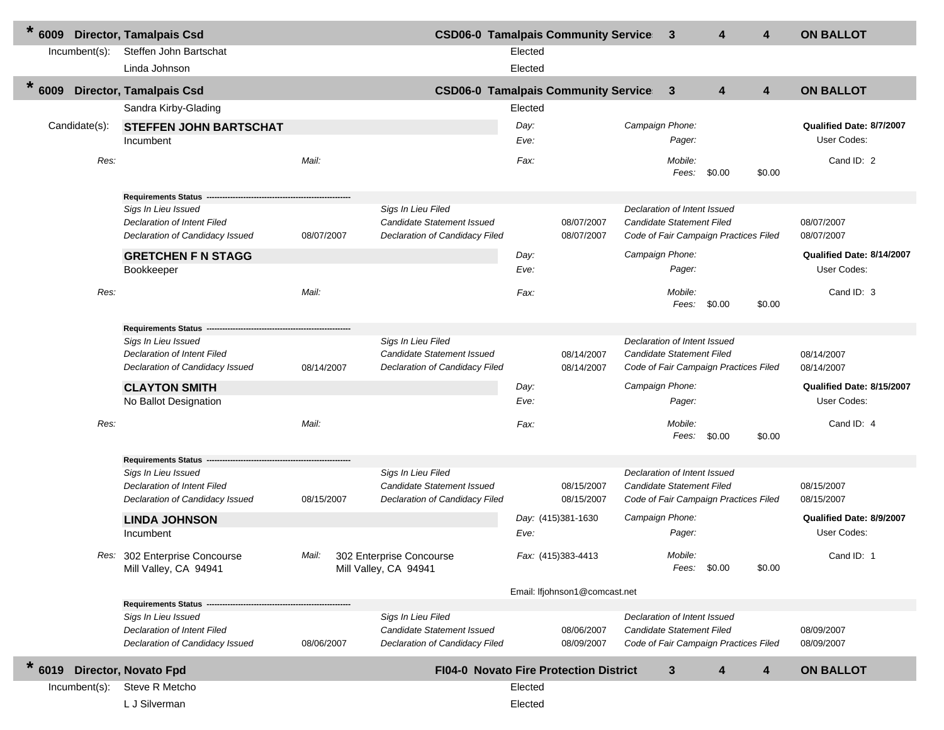| $\ast$<br>6009 |                  | <b>Director, Tamalpais Csd</b>                                                        |            |                                                                                    |              | <b>CSD06-0 Tamalpais Community Service 3</b>  |                                                           | 4                                     | 4      | <b>ON BALLOT</b>                        |
|----------------|------------------|---------------------------------------------------------------------------------------|------------|------------------------------------------------------------------------------------|--------------|-----------------------------------------------|-----------------------------------------------------------|---------------------------------------|--------|-----------------------------------------|
|                | $Incumbent(s)$ : | Steffen John Bartschat                                                                |            |                                                                                    | Elected      |                                               |                                                           |                                       |        |                                         |
|                |                  | Linda Johnson                                                                         |            |                                                                                    | Elected      |                                               |                                                           |                                       |        |                                         |
| $\ast$<br>6009 |                  | <b>Director, Tamalpais Csd</b>                                                        |            |                                                                                    |              | <b>CSD06-0 Tamalpais Community Service</b>    | 3                                                         | 4                                     | 4      | <b>ON BALLOT</b>                        |
|                |                  | Sandra Kirby-Glading                                                                  |            |                                                                                    | Elected      |                                               |                                                           |                                       |        |                                         |
|                | Candidate(s):    | <b>STEFFEN JOHN BARTSCHAT</b><br>Incumbent                                            |            |                                                                                    | Day:<br>Eve: |                                               | Campaign Phone:<br>Pager:                                 |                                       |        | Qualified Date: 8/7/2007<br>User Codes: |
|                | Res:             |                                                                                       | Mail:      |                                                                                    | Fax:         |                                               | Mobile:                                                   | Fees: \$0.00                          | \$0.00 | Cand ID: 2                              |
|                |                  | Requirements Status --                                                                |            |                                                                                    |              |                                               |                                                           |                                       |        |                                         |
|                |                  | Sigs In Lieu Issued<br>Declaration of Intent Filed<br>Declaration of Candidacy Issued | 08/07/2007 | Sigs In Lieu Filed<br>Candidate Statement Issued<br>Declaration of Candidacy Filed |              | 08/07/2007<br>08/07/2007                      | Declaration of Intent Issued<br>Candidate Statement Filed | Code of Fair Campaign Practices Filed |        | 08/07/2007<br>08/07/2007                |
|                |                  | <b>GRETCHEN F N STAGG</b>                                                             |            |                                                                                    | Day:         |                                               | Campaign Phone:                                           |                                       |        | Qualified Date: 8/14/2007               |
|                |                  | Bookkeeper                                                                            |            |                                                                                    | Eve:         |                                               | Pager:                                                    |                                       |        | User Codes:                             |
|                | Res:             |                                                                                       | Mail:      |                                                                                    | Fax:         |                                               | Mobile:<br>Fees:                                          | \$0.00                                | \$0.00 | Cand ID: 3                              |
|                |                  | <b>Requirements Status</b>                                                            |            |                                                                                    |              |                                               |                                                           |                                       |        |                                         |
|                |                  | Sigs In Lieu Issued                                                                   |            | Sigs In Lieu Filed                                                                 |              |                                               | Declaration of Intent Issued                              |                                       |        |                                         |
|                |                  | Declaration of Intent Filed<br>Declaration of Candidacy Issued                        | 08/14/2007 | <b>Candidate Statement Issued</b><br>Declaration of Candidacy Filed                |              | 08/14/2007<br>08/14/2007                      | Candidate Statement Filed                                 | Code of Fair Campaign Practices Filed |        | 08/14/2007<br>08/14/2007                |
|                |                  | <b>CLAYTON SMITH</b>                                                                  |            |                                                                                    | Day:         |                                               | Campaign Phone:                                           |                                       |        | Qualified Date: 8/15/2007               |
|                |                  | No Ballot Designation                                                                 |            |                                                                                    | Eve:         |                                               | Pager:                                                    |                                       |        | User Codes:                             |
|                | Res:             |                                                                                       | Mail:      |                                                                                    | Fax:         |                                               | Mobile:<br>Fees:                                          | \$0.00                                | \$0.00 | Cand ID: 4                              |
|                |                  | Requirements Status --                                                                |            |                                                                                    |              |                                               |                                                           |                                       |        |                                         |
|                |                  | Sigs In Lieu Issued<br>Declaration of Intent Filed                                    |            | Sigs In Lieu Filed<br>Candidate Statement Issued                                   |              | 08/15/2007                                    | Declaration of Intent Issued<br>Candidate Statement Filed |                                       |        | 08/15/2007                              |
|                |                  | Declaration of Candidacy Issued                                                       | 08/15/2007 | Declaration of Candidacy Filed                                                     |              | 08/15/2007                                    |                                                           | Code of Fair Campaign Practices Filed |        | 08/15/2007                              |
|                |                  | <b>LINDA JOHNSON</b>                                                                  |            |                                                                                    |              | Day: (415)381-1630                            | Campaign Phone:                                           |                                       |        | Qualified Date: 8/9/2007                |
|                |                  | Incumbent                                                                             |            |                                                                                    | Eve:         |                                               | Pager:                                                    |                                       |        | User Codes:                             |
|                |                  | Res: 302 Enterprise Concourse<br>Mill Valley, CA 94941                                |            | Mail: 302 Enterprise Concourse<br>Mill Valley, CA 94941                            |              | Fax: (415)383-4413                            | Mobile:                                                   | Fees: \$0.00                          | \$0.00 | Cand ID: 1                              |
|                |                  |                                                                                       |            |                                                                                    |              | Email: Ifjohnson1@comcast.net                 |                                                           |                                       |        |                                         |
|                |                  | <b>Requirements Status</b>                                                            |            |                                                                                    |              |                                               |                                                           |                                       |        |                                         |
|                |                  | Sigs In Lieu Issued<br>Declaration of Intent Filed<br>Declaration of Candidacy Issued | 08/06/2007 | Sigs In Lieu Filed<br>Candidate Statement Issued<br>Declaration of Candidacy Filed |              | 08/06/2007<br>08/09/2007                      | Declaration of Intent Issued<br>Candidate Statement Filed | Code of Fair Campaign Practices Filed |        | 08/09/2007<br>08/09/2007                |
| $\ast$<br>6019 |                  | <b>Director, Novato Fpd</b>                                                           |            |                                                                                    |              | <b>FI04-0 Novato Fire Protection District</b> | 3                                                         | 4                                     | 4      | <b>ON BALLOT</b>                        |
|                | $Incumbent(s)$ : | Steve R Metcho                                                                        |            |                                                                                    | Elected      |                                               |                                                           |                                       |        |                                         |
|                |                  | L J Silverman                                                                         |            |                                                                                    | Elected      |                                               |                                                           |                                       |        |                                         |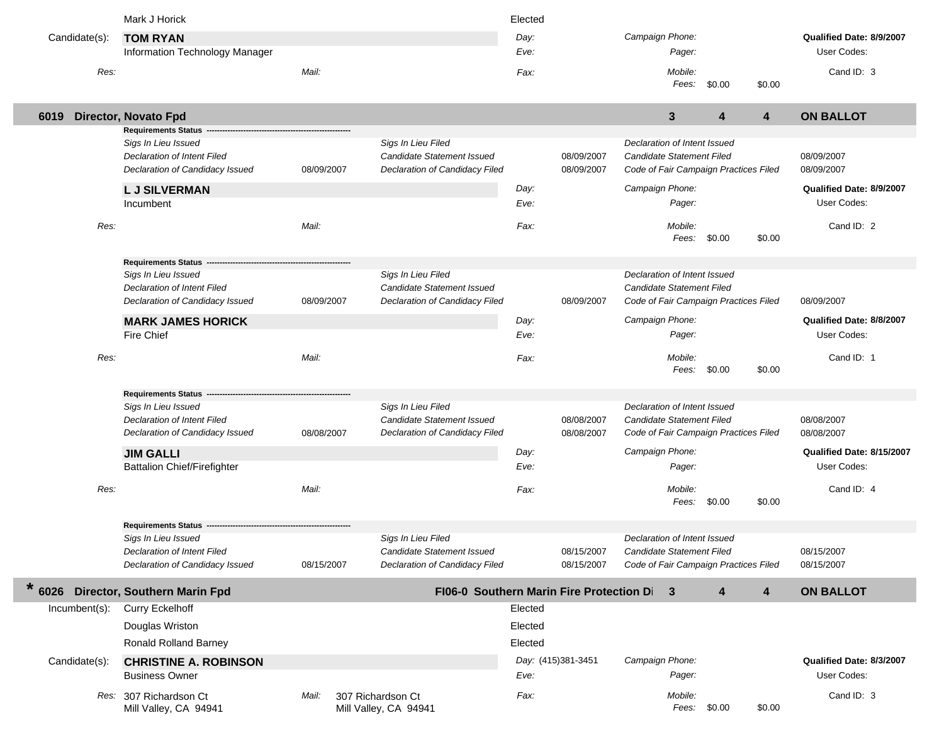|               | Mark J Horick                                                         |            |                                                                     | Elected      |                          |                                                                    |        |                |                                         |
|---------------|-----------------------------------------------------------------------|------------|---------------------------------------------------------------------|--------------|--------------------------|--------------------------------------------------------------------|--------|----------------|-----------------------------------------|
| Candidate(s): | <b>TOM RYAN</b>                                                       |            |                                                                     | Day:         |                          | Campaign Phone:                                                    |        |                | Qualified Date: 8/9/2007                |
|               | Information Technology Manager                                        |            |                                                                     | Eve:         |                          | Pager:                                                             |        |                | User Codes:                             |
| Res:          |                                                                       | Mail:      |                                                                     | Fax:         |                          | Mobile:                                                            |        |                | Cand ID: 3                              |
|               |                                                                       |            |                                                                     |              |                          | Fees:                                                              | \$0.00 | \$0.00         |                                         |
| 6019          | Director, Novato Fpd                                                  |            |                                                                     |              |                          | 3                                                                  | 4      | $\overline{4}$ | <b>ON BALLOT</b>                        |
|               | <b>Requirements Status</b>                                            |            |                                                                     |              |                          |                                                                    |        |                |                                         |
|               | Sigs In Lieu Issued                                                   |            | Sigs In Lieu Filed                                                  |              |                          | Declaration of Intent Issued                                       |        |                |                                         |
|               | <b>Declaration of Intent Filed</b><br>Declaration of Candidacy Issued | 08/09/2007 | <b>Candidate Statement Issued</b><br>Declaration of Candidacy Filed |              | 08/09/2007<br>08/09/2007 | Candidate Statement Filed<br>Code of Fair Campaign Practices Filed |        |                | 08/09/2007<br>08/09/2007                |
|               |                                                                       |            |                                                                     |              |                          | Campaign Phone:                                                    |        |                | Qualified Date: 8/9/2007                |
|               | <b>LJ SILVERMAN</b><br>Incumbent                                      |            |                                                                     | Day:<br>Eve: |                          | Pager:                                                             |        |                | User Codes:                             |
|               |                                                                       |            |                                                                     |              |                          |                                                                    |        |                |                                         |
| Res:          |                                                                       | Mail:      |                                                                     | Fax:         |                          | Mobile:                                                            |        |                | Cand ID: 2                              |
|               |                                                                       |            |                                                                     |              |                          | Fees:                                                              | \$0.00 | \$0.00         |                                         |
|               | <b>Requirements Status</b>                                            |            |                                                                     |              |                          |                                                                    |        |                |                                         |
|               | Sigs In Lieu Issued                                                   |            | Sigs In Lieu Filed                                                  |              |                          | Declaration of Intent Issued                                       |        |                |                                         |
|               | Declaration of Intent Filed<br>Declaration of Candidacy Issued        | 08/09/2007 | Candidate Statement Issued<br>Declaration of Candidacy Filed        |              | 08/09/2007               | Candidate Statement Filed<br>Code of Fair Campaign Practices Filed |        |                | 08/09/2007                              |
|               |                                                                       |            |                                                                     |              |                          |                                                                    |        |                |                                         |
|               | <b>MARK JAMES HORICK</b><br>Fire Chief                                |            |                                                                     | Day:<br>Eve: |                          | Campaign Phone:<br>Pager:                                          |        |                | Qualified Date: 8/8/2007<br>User Codes: |
|               |                                                                       |            |                                                                     |              |                          |                                                                    |        |                |                                         |
| Res:          |                                                                       | Mail:      |                                                                     | Fax:         |                          | Mobile:                                                            |        | \$0.00         | Cand ID: 1                              |
|               |                                                                       |            |                                                                     |              |                          | Fees:                                                              | \$0.00 |                |                                         |
|               | <b>Requirements Status</b>                                            |            |                                                                     |              |                          |                                                                    |        |                |                                         |
|               | Sigs In Lieu Issued<br>Declaration of Intent Filed                    |            | Sigs In Lieu Filed<br><b>Candidate Statement Issued</b>             |              | 08/08/2007               | Declaration of Intent Issued<br>Candidate Statement Filed          |        |                | 08/08/2007                              |
|               | Declaration of Candidacy Issued                                       | 08/08/2007 | Declaration of Candidacy Filed                                      |              | 08/08/2007               | Code of Fair Campaign Practices Filed                              |        |                | 08/08/2007                              |
|               |                                                                       |            |                                                                     |              |                          |                                                                    |        |                |                                         |
|               |                                                                       |            |                                                                     |              |                          |                                                                    |        |                |                                         |
|               | <b>JIM GALLI</b>                                                      |            |                                                                     | Day:         |                          | Campaign Phone:                                                    |        |                | Qualified Date: 8/15/2007               |
|               | <b>Battalion Chief/Firefighter</b>                                    |            |                                                                     | Eve:         |                          | Pager:                                                             |        |                | User Codes:                             |
| Res:          |                                                                       | Mail:      |                                                                     | Fax:         |                          | Mobile:                                                            |        |                | Cand ID: 4                              |
|               |                                                                       |            |                                                                     |              |                          | Fees:                                                              | \$0.00 | \$0.00         |                                         |
|               | <b>Requirements Status</b>                                            |            |                                                                     |              |                          |                                                                    |        |                |                                         |
|               | Sigs In Lieu Issued                                                   |            | Sigs In Lieu Filed                                                  |              |                          | Declaration of Intent Issued                                       |        |                |                                         |
|               | Declaration of Intent Filed<br>Declaration of Candidacy Issued        | 08/15/2007 | Candidate Statement Issued<br>Declaration of Candidacy Filed        |              | 08/15/2007<br>08/15/2007 | Candidate Statement Filed<br>Code of Fair Campaign Practices Filed |        |                | 08/15/2007<br>08/15/2007                |
| $\ast$        | 6026 Director, Southern Marin Fpd                                     |            | FI06-0 Southern Marin Fire Protection Di                            |              |                          | -3                                                                 | 4      | $\overline{4}$ | <b>ON BALLOT</b>                        |
| Incumbent(s): | <b>Curry Eckelhoff</b>                                                |            |                                                                     | Elected      |                          |                                                                    |        |                |                                         |
|               | Douglas Wriston                                                       |            |                                                                     | Elected      |                          |                                                                    |        |                |                                         |
|               | <b>Ronald Rolland Barney</b>                                          |            |                                                                     | Elected      |                          |                                                                    |        |                |                                         |
|               |                                                                       |            |                                                                     |              | Day: (415)381-3451       | Campaign Phone:                                                    |        |                | Qualified Date: 8/3/2007                |
| Candidate(s): | <b>CHRISTINE A. ROBINSON</b><br><b>Business Owner</b>                 |            |                                                                     | Eve:         |                          | Pager:                                                             |        |                | User Codes:                             |
|               | Res: 307 Richardson Ct                                                | Mail:      | 307 Richardson Ct                                                   | Fax:         |                          | Mobile:                                                            |        |                | Cand ID: 3                              |

ı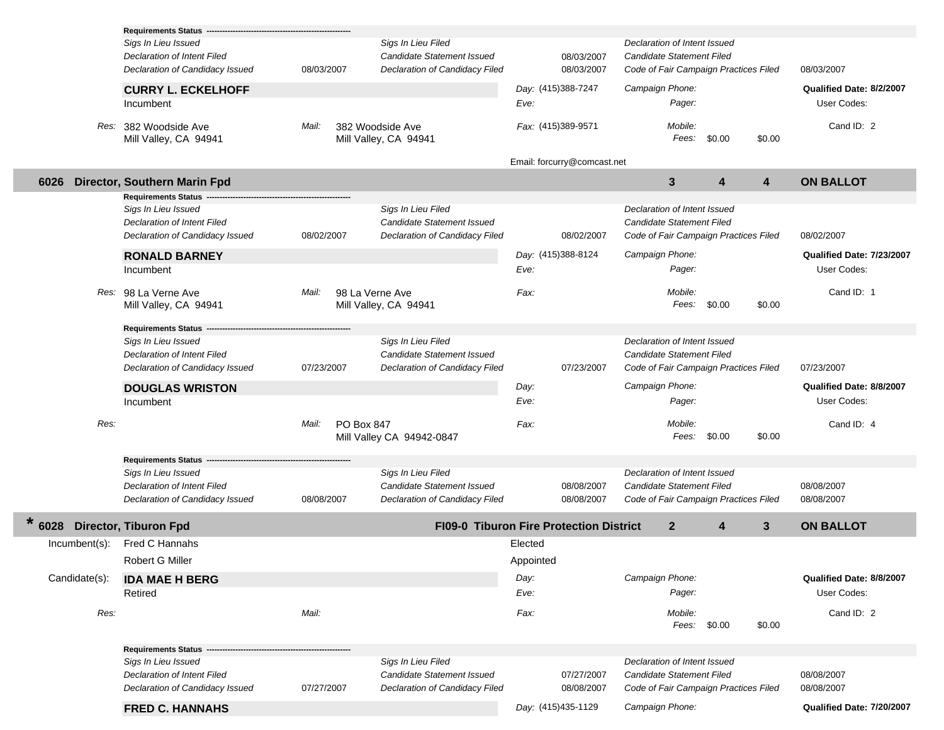|                  | <b>Requirements Status -</b>                   |            |                                                              |                                                |                                       |                           |
|------------------|------------------------------------------------|------------|--------------------------------------------------------------|------------------------------------------------|---------------------------------------|---------------------------|
|                  | Sigs In Lieu Issued                            |            | Sigs In Lieu Filed                                           |                                                | Declaration of Intent Issued          |                           |
|                  | <b>Declaration of Intent Filed</b>             |            | Candidate Statement Issued                                   | 08/03/2007                                     | Candidate Statement Filed             |                           |
|                  | Declaration of Candidacy Issued                | 08/03/2007 | Declaration of Candidacy Filed                               | 08/03/2007                                     | Code of Fair Campaign Practices Filed | 08/03/2007                |
|                  | <b>CURRY L. ECKELHOFF</b>                      |            |                                                              | Day: (415)388-7247                             | Campaign Phone:                       | Qualified Date: 8/2/2007  |
|                  | Incumbent                                      |            |                                                              | Eve:                                           | Pager:                                | User Codes:               |
|                  | Res: 382 Woodside Ave<br>Mill Valley, CA 94941 | Mail:      | 382 Woodside Ave<br>Mill Valley, CA 94941                    | Fax: (415)389-9571                             | Mobile:<br>Fees:<br>\$0.00<br>\$0.00  | Cand ID: 2                |
|                  |                                                |            |                                                              | Email: forcurry@comcast.net                    |                                       |                           |
| 6026             | Director, Southern Marin Fpd                   |            |                                                              |                                                | $\mathbf{3}$<br>4<br>4                | <b>ON BALLOT</b>          |
|                  | <b>Requirements Status</b>                     |            |                                                              |                                                |                                       |                           |
|                  | Sigs In Lieu Issued                            |            | Sigs In Lieu Filed                                           |                                                | Declaration of Intent Issued          |                           |
|                  | <b>Declaration of Intent Filed</b>             |            | Candidate Statement Issued                                   |                                                | Candidate Statement Filed             |                           |
|                  | Declaration of Candidacy Issued                | 08/02/2007 | Declaration of Candidacy Filed                               | 08/02/2007                                     | Code of Fair Campaign Practices Filed | 08/02/2007                |
|                  | <b>RONALD BARNEY</b>                           |            |                                                              | Day: (415)388-8124                             | Campaign Phone:                       | Qualified Date: 7/23/2007 |
|                  | Incumbent                                      |            |                                                              | Eve:                                           | Pager:                                | User Codes:               |
|                  |                                                |            |                                                              |                                                |                                       |                           |
|                  | Res: 98 La Verne Ave                           | Mail:      | 98 La Verne Ave                                              | Fax:                                           | Mobile:<br>Fees: \$0.00<br>\$0.00     | Cand ID: 1                |
|                  | Mill Valley, CA 94941                          |            | Mill Valley, CA 94941                                        |                                                |                                       |                           |
|                  | <b>Requirements Status</b>                     |            |                                                              |                                                |                                       |                           |
|                  | Sigs In Lieu Issued                            |            | Sigs In Lieu Filed                                           |                                                | Declaration of Intent Issued          |                           |
|                  | <b>Declaration of Intent Filed</b>             |            | Candidate Statement Issued                                   |                                                | Candidate Statement Filed             |                           |
|                  | Declaration of Candidacy Issued                | 07/23/2007 | Declaration of Candidacy Filed                               | 07/23/2007                                     | Code of Fair Campaign Practices Filed | 07/23/2007                |
|                  | <b>DOUGLAS WRISTON</b>                         |            |                                                              | Day:                                           | Campaign Phone:                       | Qualified Date: 8/8/2007  |
|                  | Incumbent                                      |            |                                                              | Eve:                                           | Pager:                                | User Codes:               |
|                  |                                                |            |                                                              |                                                |                                       |                           |
| Res:             |                                                | Mail:      | PO Box 847                                                   | Fax:                                           | Mobile:                               | Cand ID: 4                |
|                  |                                                |            | Mill Valley CA 94942-0847                                    |                                                | \$0.00<br>\$0.00<br>Fees:             |                           |
|                  | <b>Requirements Status</b>                     |            |                                                              |                                                |                                       |                           |
|                  | Sigs In Lieu Issued                            |            | Sigs In Lieu Filed                                           |                                                | Declaration of Intent Issued          |                           |
|                  | Declaration of Intent Filed                    |            | Candidate Statement Issued                                   | 08/08/2007                                     | Candidate Statement Filed             | 08/08/2007                |
|                  | Declaration of Candidacy Issued                | 08/08/2007 | Declaration of Candidacy Filed                               | 08/08/2007                                     | Code of Fair Campaign Practices Filed | 08/08/2007                |
| $\ast$<br>6028   | <b>Director, Tiburon Fpd</b>                   |            |                                                              | <b>FI09-0 Tiburon Fire Protection District</b> | $\mathbf{2}$<br>3<br>4                | <b>ON BALLOT</b>          |
| $Incumbent(s)$ : | Fred C Hannahs                                 |            |                                                              | Elected                                        |                                       |                           |
|                  | Robert G Miller                                |            |                                                              | Appointed                                      |                                       |                           |
| Candidate(s):    |                                                |            |                                                              | Day:                                           | Campaign Phone:                       | Qualified Date: 8/8/2007  |
|                  | <b>IDA MAE H BERG</b><br>Retired               |            |                                                              | Eve:                                           | Pager:                                | User Codes:               |
|                  |                                                |            |                                                              |                                                |                                       |                           |
| Res:             |                                                | Mail:      |                                                              | Fax:                                           | Mobile:<br>Fees: \$0.00<br>\$0.00     | Cand ID: 2                |
|                  |                                                |            |                                                              |                                                |                                       |                           |
|                  | <b>Requirements Status -</b>                   |            |                                                              |                                                |                                       |                           |
|                  | Sigs In Lieu Issued                            |            | Sigs In Lieu Filed                                           |                                                | Declaration of Intent Issued          |                           |
|                  | <b>Declaration of Intent Filed</b>             |            | Candidate Statement Issued<br>Declaration of Candidacy Filed | 07/27/2007                                     | Candidate Statement Filed             | 08/08/2007                |
|                  | Declaration of Candidacy Issued                | 07/27/2007 |                                                              | 08/08/2007                                     | Code of Fair Campaign Practices Filed | 08/08/2007                |
|                  | <b>FRED C. HANNAHS</b>                         |            |                                                              | Day: (415)435-1129                             | Campaign Phone:                       | Qualified Date: 7/20/2007 |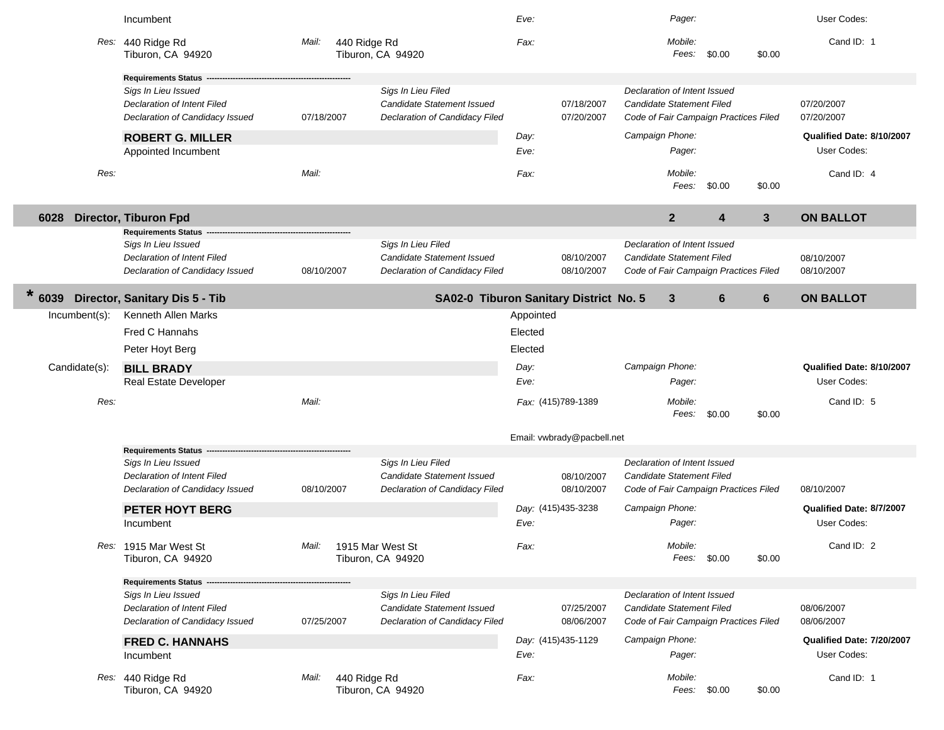|                | Incumbent                                                                             |                       |                                                                                    | Eve:      |                            |                                                                                                    | Pager:                  |                         |                 | User Codes:               |
|----------------|---------------------------------------------------------------------------------------|-----------------------|------------------------------------------------------------------------------------|-----------|----------------------------|----------------------------------------------------------------------------------------------------|-------------------------|-------------------------|-----------------|---------------------------|
|                | Res: 440 Ridge Rd<br>Tiburon, CA 94920                                                | 440 Ridge Rd<br>Mail: | Tiburon, CA 94920                                                                  | Fax:      |                            |                                                                                                    | Mobile:<br>Fees:        | \$0.00                  | \$0.00          | Cand ID: 1                |
|                | <b>Requirements Status -</b>                                                          |                       |                                                                                    |           |                            |                                                                                                    |                         |                         |                 |                           |
|                | Sigs In Lieu Issued<br>Declaration of Intent Filed<br>Declaration of Candidacy Issued | 07/18/2007            | Sigs In Lieu Filed<br>Candidate Statement Issued<br>Declaration of Candidacy Filed |           | 07/18/2007<br>07/20/2007   | Declaration of Intent Issued<br>Candidate Statement Filed<br>Code of Fair Campaign Practices Filed |                         |                         |                 | 07/20/2007<br>07/20/2007  |
|                | <b>ROBERT G. MILLER</b>                                                               |                       |                                                                                    | Day:      |                            | Campaign Phone:                                                                                    |                         |                         |                 | Qualified Date: 8/10/2007 |
|                | Appointed Incumbent                                                                   |                       |                                                                                    | Eve:      |                            |                                                                                                    | Pager:                  |                         |                 | User Codes:               |
| Res:           |                                                                                       | Mail:                 |                                                                                    | Fax:      |                            |                                                                                                    | Mobile:<br>Fees:        | \$0.00                  | \$0.00          | Cand ID: 4                |
| 6028           | <b>Director, Tiburon Fpd</b>                                                          |                       |                                                                                    |           |                            | $\overline{2}$                                                                                     |                         | $\overline{\mathbf{4}}$ | $\mathbf{3}$    | <b>ON BALLOT</b>          |
|                | <b>Requirements Status</b>                                                            |                       |                                                                                    |           |                            |                                                                                                    |                         |                         |                 |                           |
|                | Sigs In Lieu Issued<br>Declaration of Intent Filed<br>Declaration of Candidacy Issued | 08/10/2007            | Sigs In Lieu Filed<br>Candidate Statement Issued<br>Declaration of Candidacy Filed |           | 08/10/2007<br>08/10/2007   | Declaration of Intent Issued<br>Candidate Statement Filed<br>Code of Fair Campaign Practices Filed |                         |                         |                 | 08/10/2007<br>08/10/2007  |
| $\ast$<br>6039 | Director, Sanitary Dis 5 - Tib                                                        |                       | SA02-0 Tiburon Sanitary District No. 5                                             |           |                            | $\mathbf{3}$                                                                                       |                         | 6                       | $6\phantom{1}6$ | <b>ON BALLOT</b>          |
| Incumbent(s):  | Kenneth Allen Marks                                                                   |                       |                                                                                    | Appointed |                            |                                                                                                    |                         |                         |                 |                           |
|                | Fred C Hannahs                                                                        |                       |                                                                                    | Elected   |                            |                                                                                                    |                         |                         |                 |                           |
|                | Peter Hoyt Berg                                                                       |                       |                                                                                    | Elected   |                            |                                                                                                    |                         |                         |                 |                           |
| Candidate(s):  | <b>BILL BRADY</b>                                                                     |                       |                                                                                    | Day:      |                            | Campaign Phone:                                                                                    |                         |                         |                 | Qualified Date: 8/10/2007 |
|                | Real Estate Developer                                                                 |                       |                                                                                    | Eve:      |                            |                                                                                                    | Pager:                  |                         |                 | User Codes:               |
| Res:           |                                                                                       | Mail:                 |                                                                                    |           | Fax: (415)789-1389         |                                                                                                    | Mobile:<br>Fees:        | \$0.00                  | \$0.00          | Cand ID: 5                |
|                |                                                                                       |                       |                                                                                    |           | Email: vwbrady@pacbell.net |                                                                                                    |                         |                         |                 |                           |
|                | <b>Requirements Status -</b>                                                          |                       |                                                                                    |           |                            |                                                                                                    |                         |                         |                 |                           |
|                | Sigs In Lieu Issued                                                                   |                       | Sigs In Lieu Filed<br>Candidate Statement Issued                                   |           |                            | Declaration of Intent Issued                                                                       |                         |                         |                 |                           |
|                | Declaration of Intent Filed<br>Declaration of Candidacy Issued                        | 08/10/2007            | Declaration of Candidacy Filed                                                     |           | 08/10/2007<br>08/10/2007   | Candidate Statement Filed<br>Code of Fair Campaign Practices Filed                                 |                         |                         |                 | 08/10/2007                |
|                | <b>PETER HOYT BERG</b>                                                                |                       |                                                                                    |           | Day: (415)435-3238         | Campaign Phone:                                                                                    |                         |                         |                 | Qualified Date: 8/7/2007  |
|                | Incumbent                                                                             |                       |                                                                                    | Eve:      |                            |                                                                                                    | Pager:                  |                         |                 | User Codes:               |
|                | Res: 1915 Mar West St<br>Tiburon, CA 94920                                            | Mail:                 | 1915 Mar West St<br>Tiburon, CA 94920                                              | Fax:      |                            |                                                                                                    | Mobile:<br>Fees: \$0.00 |                         | \$0.00          | Cand ID: 2                |
|                | <b>Requirements Status -</b>                                                          |                       |                                                                                    |           |                            |                                                                                                    |                         |                         |                 |                           |
|                | Sigs In Lieu Issued                                                                   |                       | Sigs In Lieu Filed                                                                 |           |                            | Declaration of Intent Issued                                                                       |                         |                         |                 |                           |
|                | Declaration of Intent Filed                                                           |                       | Candidate Statement Issued                                                         |           | 07/25/2007                 | Candidate Statement Filed                                                                          |                         |                         |                 | 08/06/2007                |
|                | Declaration of Candidacy Issued                                                       | 07/25/2007            | Declaration of Candidacy Filed                                                     |           | 08/06/2007                 | Code of Fair Campaign Practices Filed                                                              |                         |                         |                 | 08/06/2007                |
|                | <b>FRED C. HANNAHS</b>                                                                |                       |                                                                                    |           | Day: (415)435-1129         | Campaign Phone:                                                                                    |                         |                         |                 | Qualified Date: 7/20/2007 |
|                | Incumbent                                                                             |                       |                                                                                    | Eve:      |                            |                                                                                                    | Pager:                  |                         |                 | User Codes:               |
|                | Res: 440 Ridge Rd<br>Tiburon, CA 94920                                                | 440 Ridge Rd<br>Mail: | Tiburon, CA 94920                                                                  | Fax:      |                            |                                                                                                    | Mobile:<br>Fees: \$0.00 |                         | \$0.00          | Cand ID: 1                |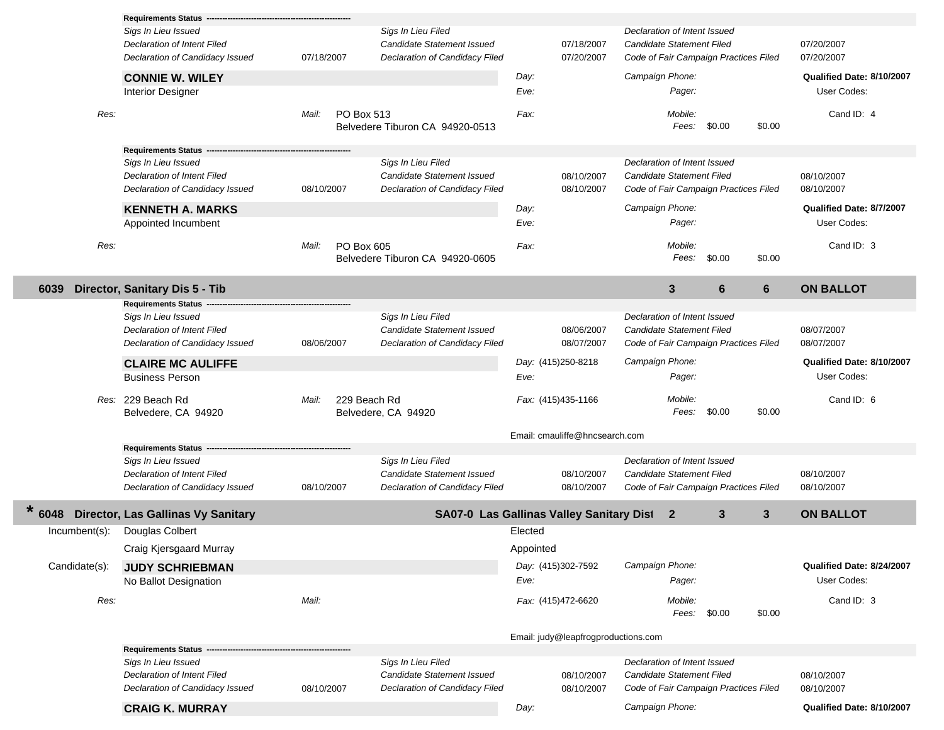|               | <b>Requirements Status</b><br>Sigs In Lieu Issued                                                                     |            | Sigs In Lieu Filed                                                                 |                                                 | Declaration of Intent Issued                                                                       |                                          |
|---------------|-----------------------------------------------------------------------------------------------------------------------|------------|------------------------------------------------------------------------------------|-------------------------------------------------|----------------------------------------------------------------------------------------------------|------------------------------------------|
|               | Declaration of Intent Filed<br>Declaration of Candidacy Issued                                                        | 07/18/2007 | Candidate Statement Issued<br>Declaration of Candidacy Filed                       | 07/18/2007<br>07/20/2007                        | Candidate Statement Filed<br>Code of Fair Campaign Practices Filed                                 | 07/20/2007<br>07/20/2007                 |
|               | <b>CONNIE W. WILEY</b><br><b>Interior Designer</b>                                                                    |            |                                                                                    | Day:<br>Eve:                                    | Campaign Phone:<br>Pager:                                                                          | Qualified Date: 8/10/2007<br>User Codes: |
| Res:          |                                                                                                                       | Mail:      | PO Box 513<br>Belvedere Tiburon CA 94920-0513                                      | Fax:                                            | Mobile:<br>Fees: \$0.00<br>\$0.00                                                                  | Cand ID: 4                               |
|               | <b>Requirements Status -</b><br>Sigs In Lieu Issued<br>Declaration of Intent Filed<br>Declaration of Candidacy Issued | 08/10/2007 | Sigs In Lieu Filed<br>Candidate Statement Issued<br>Declaration of Candidacy Filed | 08/10/2007<br>08/10/2007                        | Declaration of Intent Issued<br>Candidate Statement Filed<br>Code of Fair Campaign Practices Filed | 08/10/2007<br>08/10/2007                 |
|               | <b>KENNETH A. MARKS</b><br>Appointed Incumbent                                                                        |            |                                                                                    | Day:<br>Eve:                                    | Campaign Phone:<br>Pager:                                                                          | Qualified Date: 8/7/2007<br>User Codes:  |
| Res:          |                                                                                                                       | Mail:      | PO Box 605<br>Belvedere Tiburon CA 94920-0605                                      | Fax:                                            | Mobile:<br>Fees:<br>\$0.00<br>\$0.00                                                               | Cand ID: 3                               |
| 6039          | Director, Sanitary Dis 5 - Tib                                                                                        |            |                                                                                    |                                                 | $\mathbf{3}$<br>6<br>6                                                                             | <b>ON BALLOT</b>                         |
|               | <b>Requirements Status</b><br>Sigs In Lieu Issued<br>Declaration of Intent Filed<br>Declaration of Candidacy Issued   | 08/06/2007 | Sigs In Lieu Filed<br>Candidate Statement Issued<br>Declaration of Candidacy Filed | 08/06/2007<br>08/07/2007                        | Declaration of Intent Issued<br>Candidate Statement Filed<br>Code of Fair Campaign Practices Filed | 08/07/2007<br>08/07/2007                 |
|               | <b>CLAIRE MC AULIFFE</b><br><b>Business Person</b>                                                                    |            |                                                                                    | Day: (415)250-8218<br>Eve:                      | Campaign Phone:<br>Pager:                                                                          | Qualified Date: 8/10/2007<br>User Codes: |
|               | Res: 229 Beach Rd<br>Belvedere, CA 94920                                                                              | Mail:      | 229 Beach Rd<br>Belvedere, CA 94920                                                | Fax: (415)435-1166                              | Mobile:<br>\$0.00<br>Fees:<br>\$0.00                                                               | Cand ID: 6                               |
|               | <b>Requirements Status</b>                                                                                            |            |                                                                                    | Email: cmauliffe@hncsearch.com                  |                                                                                                    |                                          |
|               | Sigs In Lieu Issued<br>Declaration of Intent Filed<br>Declaration of Candidacy Issued                                 | 08/10/2007 | Sigs In Lieu Filed<br>Candidate Statement Issued<br>Declaration of Candidacy Filed | 08/10/2007<br>08/10/2007                        | Declaration of Intent Issued<br>Candidate Statement Filed<br>Code of Fair Campaign Practices Filed | 08/10/2007<br>08/10/2007                 |
| 6048          | <b>Director, Las Gallinas Vy Sanitary</b>                                                                             |            |                                                                                    | <b>SA07-0 Las Gallinas Valley Sanitary Dist</b> | $\mathbf{3}$<br>3<br>$\mathbf{2}$                                                                  | <b>ON BALLOT</b>                         |
| Incumbent(s): | Douglas Colbert                                                                                                       |            |                                                                                    | Elected                                         |                                                                                                    |                                          |
| Candidate(s): | Craig Kjersgaard Murray<br><b>JUDY SCHRIEBMAN</b><br>No Ballot Designation                                            |            |                                                                                    | Appointed<br>Day: (415)302-7592<br>Eve:         | Campaign Phone:<br>Pager:                                                                          | Qualified Date: 8/24/2007<br>User Codes: |
| Res:          |                                                                                                                       | Mail:      |                                                                                    | Fax: (415)472-6620                              | Mobile:<br>Fees: \$0.00<br>\$0.00                                                                  | Cand ID: 3                               |
|               |                                                                                                                       |            |                                                                                    | Email: judy@leapfrogproductions.com             |                                                                                                    |                                          |
|               | <b>Requirements Status</b><br>Sigs In Lieu Issued                                                                     |            | Sigs In Lieu Filed                                                                 |                                                 | Declaration of Intent Issued                                                                       |                                          |
|               | Declaration of Intent Filed<br>Declaration of Candidacy Issued                                                        | 08/10/2007 | Candidate Statement Issued<br>Declaration of Candidacy Filed                       | 08/10/2007<br>08/10/2007                        | Candidate Statement Filed<br>Code of Fair Campaign Practices Filed                                 | 08/10/2007<br>08/10/2007                 |
|               | <b>CRAIG K. MURRAY</b>                                                                                                |            |                                                                                    | Day:                                            | Campaign Phone:                                                                                    | Qualified Date: 8/10/2007                |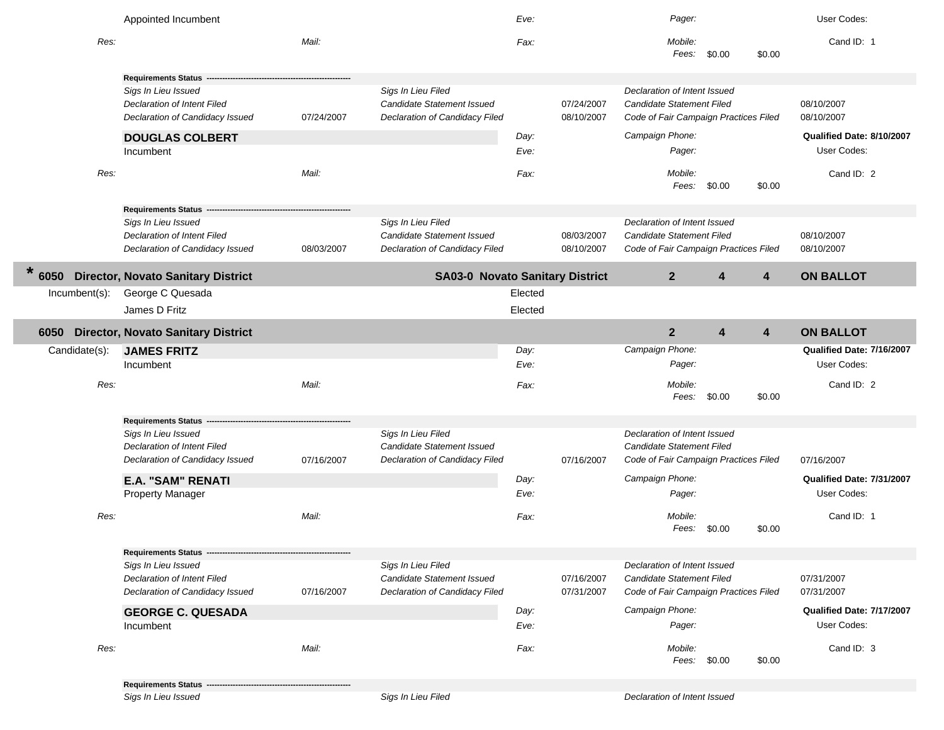|                 | Appointed Incumbent                                                                          |            |                                                                                           | Eve:    |                          | Pager:                                                                                                    |              |        | User Codes:               |
|-----------------|----------------------------------------------------------------------------------------------|------------|-------------------------------------------------------------------------------------------|---------|--------------------------|-----------------------------------------------------------------------------------------------------------|--------------|--------|---------------------------|
| Res:            |                                                                                              | Mail:      |                                                                                           | Fax:    |                          | Mobile:<br>Fees:                                                                                          | \$0.00       | \$0.00 | Cand ID: 1                |
|                 | <b>Requirements Status</b>                                                                   |            |                                                                                           |         |                          |                                                                                                           |              |        |                           |
|                 | Sigs In Lieu Issued<br>Declaration of Intent Filed<br>Declaration of Candidacy Issued        | 07/24/2007 | Sigs In Lieu Filed<br><b>Candidate Statement Issued</b><br>Declaration of Candidacy Filed |         | 07/24/2007<br>08/10/2007 | Declaration of Intent Issued<br>Candidate Statement Filed<br>Code of Fair Campaign Practices Filed        |              |        | 08/10/2007<br>08/10/2007  |
|                 | <b>DOUGLAS COLBERT</b>                                                                       |            |                                                                                           | Day:    |                          | Campaign Phone:                                                                                           |              |        | Qualified Date: 8/10/2007 |
|                 | Incumbent                                                                                    |            |                                                                                           | Eve:    |                          | Pager:                                                                                                    |              |        | User Codes:               |
| Res:            |                                                                                              | Mail:      |                                                                                           | Fax:    |                          | Mobile:<br>Fees:                                                                                          | \$0.00       | \$0.00 | Cand ID: 2                |
|                 | <b>Requirements Status</b><br>Sigs In Lieu Issued                                            |            | Sigs In Lieu Filed                                                                        |         |                          | Declaration of Intent Issued                                                                              |              |        |                           |
|                 | Declaration of Intent Filed<br>Declaration of Candidacy Issued                               | 08/03/2007 | <b>Candidate Statement Issued</b><br>Declaration of Candidacy Filed                       |         | 08/03/2007<br>08/10/2007 | Candidate Statement Filed<br>Code of Fair Campaign Practices Filed                                        |              |        | 08/10/2007<br>08/10/2007  |
| $\star$<br>6050 | <b>Director, Novato Sanitary District</b>                                                    |            | <b>SA03-0 Novato Sanitary District</b>                                                    |         |                          | $\mathbf{2}$                                                                                              | 4            | 4      | <b>ON BALLOT</b>          |
| Incumbent(s):   | George C Quesada                                                                             |            |                                                                                           | Elected |                          |                                                                                                           |              |        |                           |
|                 | James D Fritz                                                                                |            |                                                                                           | Elected |                          |                                                                                                           |              |        |                           |
| 6050            | <b>Director, Novato Sanitary District</b>                                                    |            |                                                                                           |         |                          | $\overline{2}$                                                                                            | 4            | 4      | <b>ON BALLOT</b>          |
| Candidate(s):   | <b>JAMES FRITZ</b>                                                                           |            |                                                                                           | Day:    |                          | Campaign Phone:                                                                                           |              |        | Qualified Date: 7/16/2007 |
|                 | Incumbent                                                                                    |            |                                                                                           | Eve:    |                          | Pager:                                                                                                    |              |        | User Codes:               |
| Res:            |                                                                                              | Mail:      |                                                                                           | Fax:    |                          | Mobile:<br>Fees:                                                                                          | \$0.00       | \$0.00 | Cand ID: 2                |
|                 | Requirements Status -                                                                        |            |                                                                                           |         |                          |                                                                                                           |              |        |                           |
|                 | Sigs In Lieu Issued                                                                          |            | Sigs In Lieu Filed                                                                        |         |                          | Declaration of Intent Issued                                                                              |              |        |                           |
|                 | Declaration of Intent Filed<br>Declaration of Candidacy Issued                               | 07/16/2007 | <b>Candidate Statement Issued</b><br>Declaration of Candidacy Filed                       |         | 07/16/2007               | <b>Candidate Statement Filed</b><br>Code of Fair Campaign Practices Filed                                 |              |        | 07/16/2007                |
|                 |                                                                                              |            |                                                                                           |         |                          |                                                                                                           |              |        |                           |
|                 | <b>E.A. "SAM" RENATI</b>                                                                     |            |                                                                                           | Day:    |                          | Campaign Phone:                                                                                           |              |        | Qualified Date: 7/31/2007 |
|                 | <b>Property Manager</b>                                                                      |            |                                                                                           | Eve:    |                          | Pager:                                                                                                    |              |        | User Codes:               |
| Res:            |                                                                                              | Mail:      |                                                                                           | Fax:    |                          | Mobile:<br>Fees:                                                                                          | \$0.00       | \$0.00 | Cand ID: 1                |
|                 | Requirements Status ---                                                                      |            |                                                                                           |         |                          |                                                                                                           |              |        |                           |
|                 | Sigs In Lieu Issued<br><b>Declaration of Intent Filed</b><br>Declaration of Candidacy Issued | 07/16/2007 | Sigs In Lieu Filed<br><b>Candidate Statement Issued</b><br>Declaration of Candidacy Filed |         | 07/16/2007<br>07/31/2007 | Declaration of Intent Issued<br><b>Candidate Statement Filed</b><br>Code of Fair Campaign Practices Filed |              |        | 07/31/2007<br>07/31/2007  |
|                 | <b>GEORGE C. QUESADA</b>                                                                     |            |                                                                                           | Day:    |                          | Campaign Phone:                                                                                           |              |        | Qualified Date: 7/17/2007 |
|                 | Incumbent                                                                                    |            |                                                                                           | Eve:    |                          | Pager:                                                                                                    |              |        | User Codes:               |
| Res:            |                                                                                              | Mail:      |                                                                                           | Fax:    |                          | Mobile:                                                                                                   | Fees: \$0.00 | \$0.00 | Cand ID: 3                |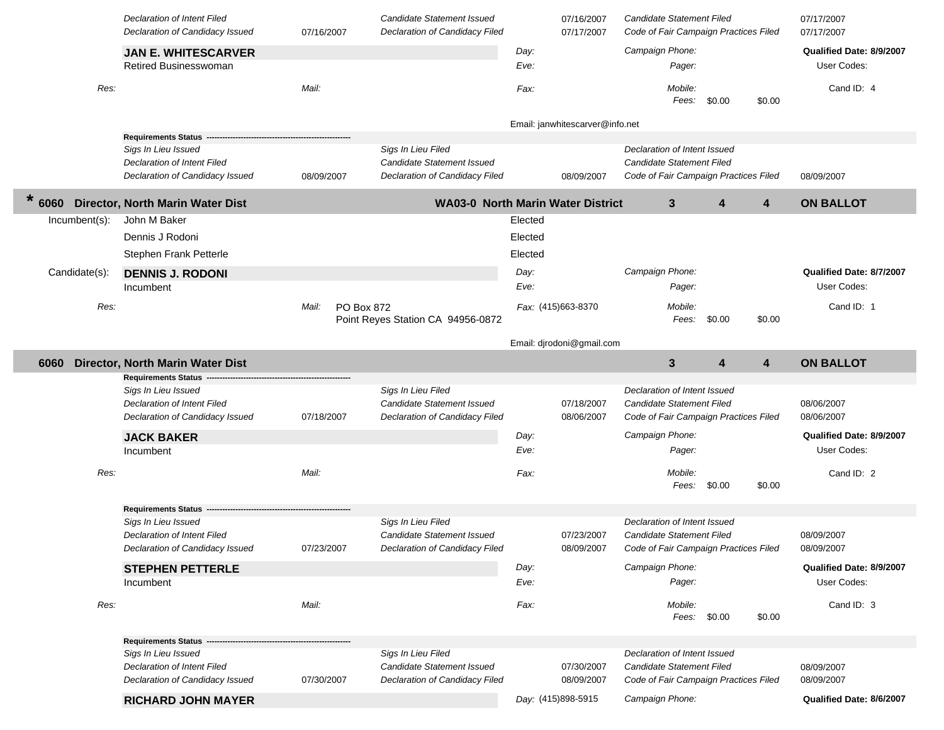|               | Declaration of Intent Filed<br>Declaration of Candidacy Issued | 07/16/2007                 | <b>Candidate Statement Issued</b><br>Declaration of Candidacy Filed |              | 07/16/2007<br>07/17/2007        | Candidate Statement Filed<br>Code of Fair Campaign Practices Filed |                  | 07/17/2007<br>07/17/2007                |
|---------------|----------------------------------------------------------------|----------------------------|---------------------------------------------------------------------|--------------|---------------------------------|--------------------------------------------------------------------|------------------|-----------------------------------------|
|               | <b>JAN E. WHITESCARVER</b><br>Retired Businesswoman            |                            |                                                                     | Day:<br>Eve: |                                 | Campaign Phone:<br>Pager:                                          |                  | Qualified Date: 8/9/2007<br>User Codes: |
| Res:          |                                                                | Mail:                      |                                                                     | Fax:         |                                 | Mobile:<br>Fees:                                                   | \$0.00<br>\$0.00 | Cand ID: 4                              |
|               |                                                                |                            |                                                                     |              | Email: janwhitescarver@info.net |                                                                    |                  |                                         |
|               | <b>Requirements Status</b>                                     |                            |                                                                     |              |                                 |                                                                    |                  |                                         |
|               | Sigs In Lieu Issued<br><b>Declaration of Intent Filed</b>      |                            | Sigs In Lieu Filed<br>Candidate Statement Issued                    |              |                                 | Declaration of Intent Issued<br>Candidate Statement Filed          |                  |                                         |
|               | Declaration of Candidacy Issued                                | 08/09/2007                 | Declaration of Candidacy Filed                                      |              | 08/09/2007                      | Code of Fair Campaign Practices Filed                              |                  | 08/09/2007                              |
| *<br>6060     | Director, North Marin Water Dist                               |                            | <b>WA03-0 North Marin Water District</b>                            |              |                                 | $3\phantom{a}$                                                     | 4<br>4           | <b>ON BALLOT</b>                        |
| Incumbent(s): | John M Baker                                                   |                            |                                                                     | Elected      |                                 |                                                                    |                  |                                         |
|               | Dennis J Rodoni                                                |                            |                                                                     | Elected      |                                 |                                                                    |                  |                                         |
|               | Stephen Frank Petterle                                         |                            |                                                                     | Elected      |                                 |                                                                    |                  |                                         |
| Candidate(s): | <b>DENNIS J. RODONI</b>                                        |                            |                                                                     | Day:         |                                 | Campaign Phone:                                                    |                  | Qualified Date: 8/7/2007                |
|               | Incumbent                                                      |                            |                                                                     | Eve:         |                                 | Pager:                                                             |                  | User Codes:                             |
| Res:          |                                                                | Mail:<br><b>PO Box 872</b> |                                                                     |              | Fax: (415)663-8370              | Mobile:                                                            |                  | Cand ID: 1                              |
|               |                                                                |                            | Point Reyes Station CA 94956-0872                                   |              |                                 | Fees:                                                              | \$0.00<br>\$0.00 |                                         |
|               |                                                                |                            |                                                                     |              |                                 |                                                                    |                  |                                         |
|               |                                                                |                            |                                                                     |              | Email: djrodoni@gmail.com       |                                                                    |                  |                                         |
| 6060          | Director, North Marin Water Dist                               |                            |                                                                     |              |                                 | 3                                                                  | 4<br>4           | <b>ON BALLOT</b>                        |
|               | <b>Requirements Status</b><br>Sigs In Lieu Issued              |                            | Sigs In Lieu Filed                                                  |              |                                 | Declaration of Intent Issued                                       |                  |                                         |
|               | Declaration of Intent Filed                                    |                            | Candidate Statement Issued                                          |              | 07/18/2007                      | Candidate Statement Filed                                          |                  | 08/06/2007                              |
|               | Declaration of Candidacy Issued                                | 07/18/2007                 | Declaration of Candidacy Filed                                      |              | 08/06/2007                      | Code of Fair Campaign Practices Filed                              |                  | 08/06/2007                              |
|               | <b>JACK BAKER</b>                                              |                            |                                                                     | Day:         |                                 | Campaign Phone:                                                    |                  | Qualified Date: 8/9/2007                |
|               | Incumbent                                                      |                            |                                                                     | Eve:         |                                 | Pager:                                                             |                  | User Codes:                             |
| Res:          |                                                                | Mail:                      |                                                                     | Fax:         |                                 | Mobile:                                                            |                  | Cand ID: 2                              |
|               |                                                                |                            |                                                                     |              |                                 | Fees:                                                              | \$0.00<br>\$0.00 |                                         |
|               |                                                                |                            |                                                                     |              |                                 |                                                                    |                  |                                         |
|               | <b>Requirements Status</b><br>Sigs In Lieu Issued              |                            | Sigs In Lieu Filed                                                  |              |                                 | Declaration of Intent Issued                                       |                  |                                         |
|               | Declaration of Intent Filed                                    |                            | <b>Candidate Statement Issued</b>                                   |              | 07/23/2007                      | Candidate Statement Filed                                          |                  | 08/09/2007                              |
|               | Declaration of Candidacy Issued                                | 07/23/2007                 | Declaration of Candidacy Filed                                      |              | 08/09/2007                      | Code of Fair Campaign Practices Filed                              |                  | 08/09/2007                              |
|               | <b>STEPHEN PETTERLE</b>                                        |                            |                                                                     | Day:         |                                 | Campaign Phone:                                                    |                  | Qualified Date: 8/9/2007                |
|               | Incumbent                                                      |                            |                                                                     | Eve:         |                                 | Pager:                                                             |                  | User Codes:                             |
| Res:          |                                                                | Mail:                      |                                                                     | Fax:         |                                 | Mobile:                                                            |                  | Cand ID: 3                              |
|               |                                                                |                            |                                                                     |              |                                 | Fees: \$0.00                                                       | \$0.00           |                                         |
|               | Requirements Status -                                          |                            |                                                                     |              |                                 |                                                                    |                  |                                         |
|               | Sigs In Lieu Issued                                            |                            | Sigs In Lieu Filed                                                  |              |                                 | Declaration of Intent Issued                                       |                  |                                         |
|               | Declaration of Intent Filed                                    |                            | Candidate Statement Issued                                          |              | 07/30/2007                      | Candidate Statement Filed                                          |                  | 08/09/2007                              |
|               | Declaration of Candidacy Issued                                | 07/30/2007                 | Declaration of Candidacy Filed                                      |              | 08/09/2007                      | Code of Fair Campaign Practices Filed                              |                  | 08/09/2007                              |
|               | <b>RICHARD JOHN MAYER</b>                                      |                            |                                                                     |              | Day: (415)898-5915              | Campaign Phone:                                                    |                  | Qualified Date: 8/6/2007                |